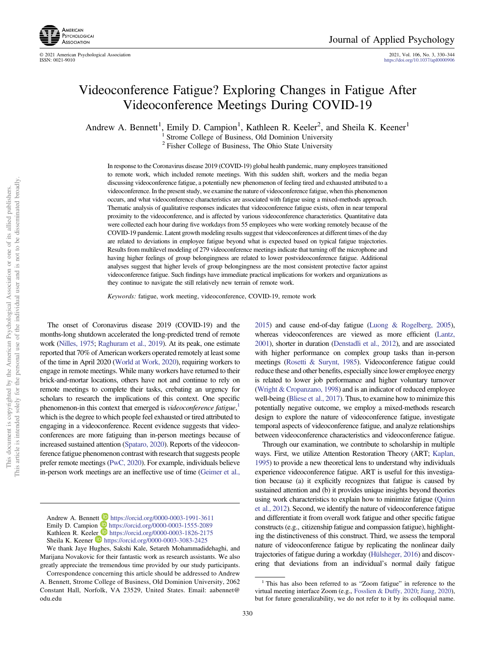

© 2021 American Psychological Association 2021, Vol. 106, No. 3, 330–344 <https://doi.org/10.1037/apl0000906>

# Videoconference Fatigue? Exploring Changes in Fatigue After Videoconference Meetings During COVID-19

Andrew A. Bennett<sup>1</sup>, Emily D. Campion<sup>1</sup>, Kathleen R. Keeler<sup>2</sup>, and Sheila K. Keener<sup>1</sup>

Strome College of Business, Old Dominion University

<sup>2</sup> Fisher College of Business, The Ohio State University

In response to the Coronavirus disease 2019 (COVID-19) global health pandemic, many employees transitioned to remote work, which included remote meetings. With this sudden shift, workers and the media began discussing videoconference fatigue, a potentially new phenomenon of feeling tired and exhausted attributed to a videoconference. In the present study, we examine the nature of videoconference fatigue, when this phenomenon occurs, and what videoconference characteristics are associated with fatigue using a mixed-methods approach. Thematic analysis of qualitative responses indicates that videoconference fatigue exists, often in near temporal proximity to the videoconference, and is affected by various videoconference characteristics. Quantitative data were collected each hour during five workdays from 55 employees who were working remotely because of the COVID-19 pandemic. Latent growth modeling results suggest that videoconferences at different times of the day are related to deviations in employee fatigue beyond what is expected based on typical fatigue trajectories. Results from multilevel modeling of 279 videoconference meetings indicate that turning off the microphone and having higher feelings of group belongingness are related to lower postvideoconference fatigue. Additional analyses suggest that higher levels of group belongingness are the most consistent protective factor against videoconference fatigue. Such findings have immediate practical implications for workers and organizations as they continue to navigate the still relatively new terrain of remote work.

Keywords: fatigue, work meeting, videoconference, COVID-19, remote work

The onset of Coronavirus disease 2019 (COVID-19) and the months-long shutdown accelerated the long-predicted trend of remote work [\(Nilles, 1975;](#page-13-0) [Raghuram et al., 2019](#page-13-0)). At its peak, one estimate reported that 70% of American workers operated remotely at least some of the time in April 2020 [\(World at Work, 2020](#page-13-0)), requiring workers to engage in remote meetings. While many workers have returned to their brick-and-mortar locations, others have not and continue to rely on remote meetings to complete their tasks, crebating an urgency for scholars to research the implications of this context. One specific phenomenon-in this context that emerged is videoconference fatigue,<sup>1</sup> which is the degree to which people feel exhausted or tired attributed to engaging in a videoconference. Recent evidence suggests that videoconferences are more fatiguing than in-person meetings because of increased sustained attention ([Spataro, 2020](#page-13-0)). Reports of the videoconference fatigue phenomenon contrast with research that suggests people prefer remote meetings [\(PwC, 2020\)](#page-13-0). For example, individuals believe in-person work meetings are an ineffective use of time ([Geimer et al.,](#page-12-0)

[2015](#page-12-0)) and cause end-of-day fatigue [\(Luong & Rogelberg, 2005](#page-12-0)), whereas videoconferences are viewed as more efficient [\(Lantz,](#page-12-0) [2001](#page-12-0)), shorter in duration [\(Denstadli et al., 2012](#page-12-0)), and are associated with higher performance on complex group tasks than in-person meetings ([Rosetti & Surynt, 1985](#page-13-0)). Videoconference fatigue could reduce these and other benefits, especially since lower employee energy is related to lower job performance and higher voluntary turnover ([Wright & Cropanzano, 1998](#page-13-0)) and is an indicator of reduced employee well-being ([Bliese et al., 2017\)](#page-11-0). Thus, to examine how to minimize this potentially negative outcome, we employ a mixed-methods research design to explore the nature of videoconference fatigue, investigate temporal aspects of videoconference fatigue, and analyze relationships between videoconference characteristics and videoconference fatigue.

Through our examination, we contribute to scholarship in multiple ways. First, we utilize Attention Restoration Theory (ART; [Kaplan,](#page-12-0) [1995](#page-12-0)) to provide a new theoretical lens to understand why individuals experience videoconference fatigue. ART is useful for this investigation because (a) it explicitly recognizes that fatigue is caused by sustained attention and (b) it provides unique insights beyond theories using work characteristics to explain how to minimize fatigue [\(Quinn](#page-13-0) [et al., 2012](#page-13-0)). Second, we identify the nature of videoconference fatigue and differentiate it from overall work fatigue and other specific fatigue constructs (e.g., citizenship fatigue and compassion fatigue), highlighting the distinctiveness of this construct. Third, we assess the temporal nature of videoconference fatigue by replicating the nonlinear daily trajectories of fatigue during a workday [\(Hülsheger, 2016\)](#page-12-0) and discovering that deviations from an individual's normal daily fatigue

This article is intended solely for the personal use of the individual user and is not to be disseminated broadly.

Andrew A. Bennett **<https://orcid.org/0000-0003-1991-3611>** Emily D. Campion <https://orcid.org/0000-0003-1555-2089> Kathleen R. Keeler <https://orcid.org/0000-0003-1826-2175> Sheila K. Keener  $\blacksquare$  <https://orcid.org/0000-0003-3083-2425>

We thank Jaye Hughes, Sakshi Kale, Setareh Mohammadidehaghi, and Marijana Novakovic for their fantastic work as research assistants. We also greatly appreciate the tremendous time provided by our study participants.

Correspondence concerning this article should be addressed to Andrew A. Bennett, Strome College of Business, Old Dominion University, 2062 Constant Hall, Norfolk, VA 23529, United States. Email: [aabennet@](mailto:aabennet@odu.edu) [odu.edu](mailto:aabennet@odu.edu)

<sup>&</sup>lt;sup>1</sup> This has also been referred to as "Zoom fatigue" in reference to the virtual meeting interface Zoom (e.g., [Fosslien & Duffy, 2020;](#page-12-0) [Jiang, 2020](#page-12-0)), but for future generalizability, we do not refer to it by its colloquial name.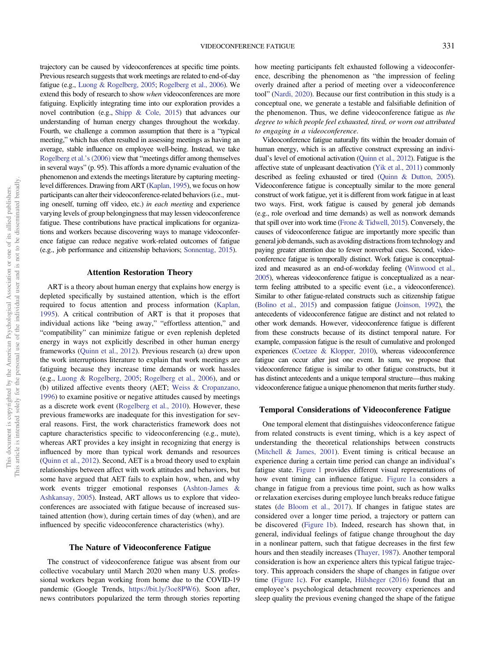trajectory can be caused by videoconferences at specific time points. Previous research suggests that work meetings are related to end-of-day fatigue (e.g., [Luong & Rogelberg, 2005](#page-12-0); [Rogelberg et al., 2006](#page-13-0)). We extend this body of research to show when videoconferences are more fatiguing. Explicitly integrating time into our exploration provides a novel contribution (e.g., [Shipp & Cole, 2015](#page-13-0)) that advances our understanding of human energy changes throughout the workday. Fourth, we challenge a common assumption that there is a "typical meeting," which has often resulted in assessing meetings as having an average, stable influence on employee well-being. Instead, we take [Rogelberg et al.](#page-13-0)'s (2006) view that "meetings differ among themselves in several ways" (p. 95). This affords a more dynamic evaluation of the phenomenon and extends the meetings literature by capturing meetinglevel differences. Drawing from ART ([Kaplan, 1995](#page-12-0)), we focus on how participants can alter their videoconference-related behaviors (i.e., muting oneself, turning off video, etc.) in each meeting and experience varying levels of group belongingness that may lessen videoconference fatigue. These contributions have practical implications for organizations and workers because discovering ways to manage videoconference fatigue can reduce negative work-related outcomes of fatigue (e.g., job performance and citizenship behaviors; [Sonnentag, 2015](#page-13-0)).

### Attention Restoration Theory

ART is a theory about human energy that explains how energy is depleted specifically by sustained attention, which is the effort required to focus attention and process information [\(Kaplan,](#page-12-0) [1995\)](#page-12-0). A critical contribution of ART is that it proposes that individual actions like "being away," "effortless attention," and "compatibility" can minimize fatigue or even replenish depleted energy in ways not explicitly described in other human energy frameworks [\(Quinn et al., 2012](#page-13-0)). Previous research (a) drew upon the work interruptions literature to explain that work meetings are fatiguing because they increase time demands or work hassles (e.g., [Luong & Rogelberg, 2005](#page-12-0); [Rogelberg et al., 2006\)](#page-13-0), and or (b) utilized affective events theory (AET; [Weiss & Cropanzano,](#page-13-0) [1996\)](#page-13-0) to examine positive or negative attitudes caused by meetings as a discrete work event [\(Rogelberg et al., 2010\)](#page-13-0). However, these previous frameworks are inadequate for this investigation for several reasons. First, the work characteristics framework does not capture characteristics specific to videoconferencing (e.g., mute), whereas ART provides a key insight in recognizing that energy is influenced by more than typical work demands and resources ([Quinn et al., 2012\)](#page-13-0). Second, AET is a broad theory used to explain relationships between affect with work attitudes and behaviors, but some have argued that AET fails to explain how, when, and why work events trigger emotional responses [\(Ashton-James &](#page-11-0) [Ashkansay, 2005\)](#page-11-0). Instead, ART allows us to explore that videoconferences are associated with fatigue because of increased sustained attention (how), during certain times of day (when), and are influenced by specific videoconference characteristics (why).

### The Nature of Videoconference Fatigue

The construct of videoconference fatigue was absent from our collective vocabulary until March 2020 when many U.S. professional workers began working from home due to the COVID-19 pandemic (Google Trends, [https://bit.ly/3oe8PW6\)](https://bit.ly/3oe8PW6). Soon after, news contributors popularized the term through stories reporting how meeting participants felt exhausted following a videoconference, describing the phenomenon as "the impression of feeling overly drained after a period of meeting over a videoconference tool" [\(Nardi, 2020\)](#page-13-0). Because our first contribution in this study is a conceptual one, we generate a testable and falsifiable definition of the phenomenon. Thus, we define videoconference fatigue as the degree to which people feel exhausted, tired, or worn out attributed to engaging in a videoconference.

Videoconference fatigue naturally fits within the broader domain of human energy, which is an affective construct expressing an individual's level of emotional activation [\(Quinn et al., 2012\)](#page-13-0). Fatigue is the affective state of unpleasant deactivation [\(Yik et al., 2011\)](#page-13-0) commonly described as feeling exhausted or tired [\(Quinn & Dutton, 2005](#page-13-0)). Videoconference fatigue is conceptually similar to the more general construct of work fatigue, yet it is different from work fatigue in at least two ways. First, work fatigue is caused by general job demands (e.g., role overload and time demands) as well as nonwork demands that spill over into work time [\(Frone & Tidwell, 2015](#page-12-0)). Conversely, the causes of videoconference fatigue are importantly more specific than general job demands, such as avoiding distractions from technology and paying greater attention due to fewer nonverbal cues. Second, videoconference fatigue is temporally distinct. Work fatigue is conceptualized and measured as an end-of-workday feeling [\(Winwood et al.,](#page-13-0) [2005](#page-13-0)), whereas videoconference fatigue is conceptualized as a nearterm feeling attributed to a specific event (i.e., a videoconference). Similar to other fatigue-related constructs such as citizenship fatigue ([Bolino et al., 2015](#page-11-0)) and compassion fatigue ([Joinson, 1992](#page-12-0)), the antecedents of videoconference fatigue are distinct and not related to other work demands. However, videoconference fatigue is different from these constructs because of its distinct temporal nature. For example, compassion fatigue is the result of cumulative and prolonged experiences [\(Coetzee & Klopper, 2010](#page-12-0)), whereas videoconference fatigue can occur after just one event. In sum, we propose that videoconference fatigue is similar to other fatigue constructs, but it has distinct antecedents and a unique temporal structure—thus making videoconference fatigue a unique phenomenon that merits further study.

# Temporal Considerations of Videoconference Fatigue

One temporal element that distinguishes videoconference fatigue from related constructs is event timing, which is a key aspect of understanding the theoretical relationships between constructs ([Mitchell & James, 2001\)](#page-13-0). Event timing is critical because an experience during a certain time period can change an individual's fatigue state. [Figure 1](#page-2-0) provides different visual representations of how event timing can influence fatigue. [Figure 1a](#page-2-0) considers a change in fatigue from a previous time point, such as how walks or relaxation exercises during employee lunch breaks reduce fatigue states ([de Bloom et al., 2017](#page-12-0)). If changes in fatigue states are considered over a longer time period, a trajectory or pattern can be discovered ([Figure 1b](#page-2-0)). Indeed, research has shown that, in general, individual feelings of fatigue change throughout the day in a nonlinear pattern, such that fatigue decreases in the first few hours and then steadily increases [\(Thayer, 1987\)](#page-13-0). Another temporal consideration is how an experience alters this typical fatigue trajectory. This approach considers the shape of changes in fatigue over time ([Figure 1c\)](#page-2-0). For example, [Hülsheger \(2016\)](#page-12-0) found that an employee's psychological detachment recovery experiences and sleep quality the previous evening changed the shape of the fatigue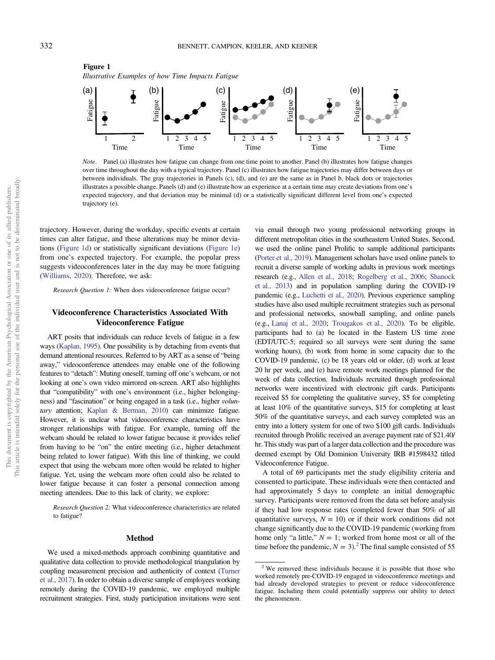<span id="page-2-0"></span>

Note. Panel (a) illustrates how fatigue can change from one time point to another. Panel (b) illustrates how fatigue changes over time throughout the day with a typical trajectory. Panel (c) illustrates how fatigue trajectories may differ between days or between individuals. The gray trajectories in Panels (c), (d), and (e) are the same as in Panel b, black dots or trajectories illustrates a possible change. Panels (d) and (e) illustrate how an experience at a certain time may create deviations from one's expected trajectory, and that deviation may be minimal (d) or a statistically significant different level from one's expected trajectory (e).

trajectory. However, during the workday, specific events at certain times can alter fatigue, and these alterations may be minor deviations (Figure 1d) or statistically significant deviations (Figure 1e) from one's expected trajectory. For example, the popular press suggests videoconferences later in the day may be more fatiguing ([Williams, 2020\)](#page-13-0). Therefore, we ask:

Research Question 1: When does videoconference fatigue occur?

# Videoconference Characteristics Associated With Videoconference Fatigue

ART posits that individuals can reduce levels of fatigue in a few ways ([Kaplan, 1995](#page-12-0)). One possibility is by detaching from events that demand attentional resources. Referred to by ART as a sense of "being away," videoconference attendees may enable one of the following features to "detach": Muting oneself, turning off one's webcam, or not looking at one's own video mirrored on-screen. ART also highlights that "compatibility" with one's environment (i.e., higher belongingness) and "fascination" or being engaged in a task (i.e., higher voluntary attention; [Kaplan & Berman, 2010](#page-12-0)) can minimize fatigue. However, it is unclear what videoconference characteristics have stronger relationships with fatigue. For example, turning off the webcam should be related to lower fatigue because it provides relief from having to be "on" the entire meeting (i.e., higher detachment being related to lower fatigue). With this line of thinking, we could expect that using the webcam more often would be related to higher fatigue. Yet, using the webcam more often could also be related to lower fatigue because it can foster a personal connection among meeting attendees. Due to this lack of clarity, we explore:

Research Question 2: What videoconference characteristics are related to fatigue?

### Method

We used a mixed-methods approach combining quantitative and qualitative data collection to provide methodological triangulation by coupling measurement precision and authenticity of context ([Turner](#page-13-0) [et al., 2017](#page-13-0)). In order to obtain a diverse sample of employees working remotely during the COVID-19 pandemic, we employed multiple recruitment strategies. First, study participation invitations were sent

via email through two young professional networking groups in different metropolitan cities in the southeastern United States. Second, we used the online panel Prolific to sample additional participants ([Porter et al., 2019\)](#page-13-0). Management scholars have used online panels to recruit a diverse sample of working adults in previous work meetings research (e.g., [Allen et al., 2018](#page-11-0); [Rogelberg et al., 2006;](#page-13-0) [Shanock](#page-13-0) [et al., 2013\)](#page-13-0) and in population sampling during the COVID-19 pandemic (e.g., [Luchetti et al., 2020\)](#page-12-0). Previous experience sampling studies have also used multiple recruitment strategies such as personal and professional networks, snowball sampling, and online panels (e.g., [Lanaj et al., 2020;](#page-12-0) [Trougakos et al., 2020\)](#page-13-0). To be eligible, participants had to (a) be located in the Eastern US time zone (EDT/UTC-5; required so all surveys were sent during the same working hours), (b) work from home in some capacity due to the COVID-19 pandemic, (c) be 18 years old or older, (d) work at least 20 hr per week, and (e) have remote work meetings planned for the week of data collection. Individuals recruited through professional networks were incentivized with electronic gift cards. Participants received \$5 for completing the qualitative survey, \$5 for completing at least 10% of the quantitative surveys, \$15 for completing at least 50% of the quantitative surveys, and each survey completed was an entry into a lottery system for one of two \$100 gift cards. Individuals recruited through Prolific received an average payment rate of \$21.40/ hr. This study was part of a larger data collection and the procedure was deemed exempt by Old Dominion University IRB #1598432 titled Videoconference Fatigue.

A total of 69 participants met the study eligibility criteria and consented to participate. These individuals were then contacted and had approximately 5 days to complete an initial demographic survey. Participants were removed from the data set before analysis if they had low response rates (completed fewer than 50% of all quantitative surveys,  $N = 10$ ) or if their work conditions did not change significantly due to the COVID-19 pandemic (working from home only "a little,"  $N = 1$ ; worked from home most or all of the time before the pandemic,  $N = 3$ .<sup>2</sup> The final sample consisted of 55

Figure 1

<sup>&</sup>lt;sup>2</sup> We removed these individuals because it is possible that those who worked remotely pre-COVID-19 engaged in videoconference meetings and had already developed strategies to prevent or reduce videoconference fatigue. Including them could potentially suppress our ability to detect the phenomenon.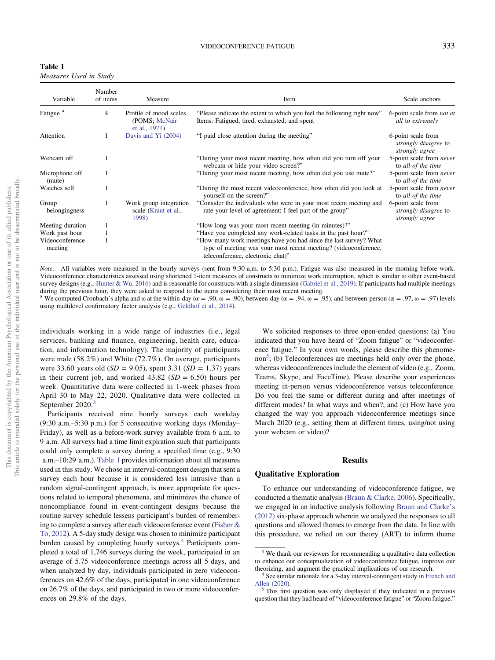| Table 1                |  |  |
|------------------------|--|--|
| Measures Used in Study |  |  |

| Variable                   | Number<br>of items | Measure                                                  | Item                                                                                                                                                                     | Scale anchors                                                       |
|----------------------------|--------------------|----------------------------------------------------------|--------------------------------------------------------------------------------------------------------------------------------------------------------------------------|---------------------------------------------------------------------|
| Fatigue <sup>a</sup>       | 4                  | Profile of mood scales<br>(POMS; McNair<br>et al., 1971) | "Please indicate the extent to which you feel the following right now"<br>Items: Fatigued, tired, exhausted, and spent                                                   | 6-point scale from <i>not at</i><br>all to extremely                |
| Attention                  |                    | Davis and $Y_i$ (2004)                                   | "I paid close attention during the meeting"                                                                                                                              | 6-point scale from<br><i>strongly disagree to</i><br>strongly agree |
| Webcam off                 |                    |                                                          | "During your most recent meeting, how often did you turn off your<br>webcam or hide your video screen?"                                                                  | 5-point scale from <i>never</i><br>to all of the time               |
| Microphone off<br>(mute)   |                    |                                                          | "During your most recent meeting, how often did you use mute?"                                                                                                           | 5-point scale from <i>never</i><br>to all of the time               |
| Watches self               |                    |                                                          | "During the most recent videoconference, how often did you look at<br>yourself on the screen?"                                                                           | 5-point scale from <i>never</i><br>to all of the time               |
| Group<br>belongingness     |                    | Work group integration<br>scale (Kraut et al.,<br>1998)  | "Consider the individuals who were in your most recent meeting and<br>rate your level of agreement: I feel part of the group"                                            | 6-point scale from<br>strongly disagree to<br>strongly agree        |
| Meeting duration           |                    |                                                          | "How long was your most recent meeting (in minutes)?"                                                                                                                    |                                                                     |
| Work past hour             |                    |                                                          | "Have you completed any work-related tasks in the past hour?"                                                                                                            |                                                                     |
| Videoconference<br>meeting |                    |                                                          | "How many work meetings have you had since the last survey? What<br>type of meeting was your most recent meeting? (videoconference,<br>teleconference, electronic chat)" |                                                                     |

Note. All variables were measured in the hourly surveys (sent from 9:30 a.m. to 5:30 p.m.). Fatigue was also measured in the morning before work. Videoconference characteristics assessed using shortened 1-item measures of constructs to minimize work interruption, which is similar to other event-based survey designs (e.g., [Hunter & Wu, 2016](#page-12-0)) and is reasonable for constructs with a single dimension ([Gabriel et al., 2019](#page-12-0)). If participants had multiple meetings during the previous hour, they were asked to respond to the items considering their most recent meeting.

<sup>a</sup> We computed Cronbach's alpha and ω at the within-day ( $\alpha = .90$ ,  $\omega = .90$ ), between-day ( $\alpha = .94$ ,  $\omega = .95$ ), and between-person ( $\alpha = .97$ ,  $\omega = .97$ ) levels using multilevel confirmatory factor analysis (e.g., [Geldhof et al., 2014\)](#page-12-0).

individuals working in a wide range of industries (i.e., legal services, banking and finance, engineering, health care, education, and information technology). The majority of participants were male (58.2%) and White (72.7%). On average, participants were 33.60 years old  $(SD = 9.05)$ , spent 3.31  $(SD = 1.37)$  years in their current job, and worked  $43.82$  ( $SD = 6.50$ ) hours per week. Quantitative data were collected in 1-week phases from April 30 to May 22, 2020. Qualitative data were collected in September 2020.<sup>3</sup>

Participants received nine hourly surveys each workday (9:30 a.m.–5:30 p.m.) for 5 consecutive working days (Monday– Friday), as well as a before-work survey available from 6 a.m. to 9 a.m. All surveys had a time limit expiration such that participants could only complete a survey during a specified time (e.g., 9:30 a.m.–10:29 a.m.). Table 1 provides information about all measures used in this study. We chose an interval-contingent design that sent a survey each hour because it is considered less intrusive than a random signal-contingent approach, is more appropriate for questions related to temporal phenomena, and minimizes the chance of noncompliance found in event-contingent designs because the routine survey schedule lessens participant's burden of remembering to complete a survey after each videoconference event [\(Fisher &](#page-12-0) [To, 2012\)](#page-12-0). A 5-day study design was chosen to minimize participant burden caused by completing hourly surveys.<sup>4</sup> Participants completed a total of 1,746 surveys during the week, participated in an average of 5.75 videoconference meetings across all 5 days, and when analyzed by day, individuals participated in zero videoconferences on 42.6% of the days, participated in one videoconference on 26.7% of the days, and participated in two or more videoconferences on 29.8% of the days.

We solicited responses to three open-ended questions: (a) You indicated that you have heard of "Zoom fatigue" or "videoconference fatigue." In your own words, please describe this phenomenon<sup>5</sup>; (b) Teleconferences are meetings held only over the phone, whereas videoconferences include the element of video (e.g., Zoom, Teams, Skype, and FaceTime). Please describe your experiences meeting in-person versus videoconference versus teleconference. Do you feel the same or different during and after meetings of different modes? In what ways and when?; and (c) How have you changed the way you approach videoconference meetings since March 2020 (e.g., setting them at different times, using/not using your webcam or video)?

## Results

### Qualitative Exploration

To enhance our understanding of videoconference fatigue, we conducted a thematic analysis [\(Braun & Clarke, 2006\)](#page-11-0). Specifically, we engaged in an inductive analysis following [Braun and Clarke](#page-11-0)'s [\(2012\)](#page-11-0) six-phase approach wherein we analyzed the responses to all questions and allowed themes to emerge from the data. In line with this procedure, we relied on our theory (ART) to inform theme

<sup>&</sup>lt;sup>3</sup> We thank our reviewers for recommending a qualitative data collection to enhance our conceptualization of videoconference fatigue, improve our

theorizing, and augment the practical implications of our research.<br><sup>4</sup> See similar rationale for a 3-day interval-contingent study in [French and](#page-12-0) Allen (2020).

 $<sup>5</sup>$  This first question was only displayed if they indicated in a previous</sup> question that they had heard of "videoconference fatigue" or "Zoom fatigue."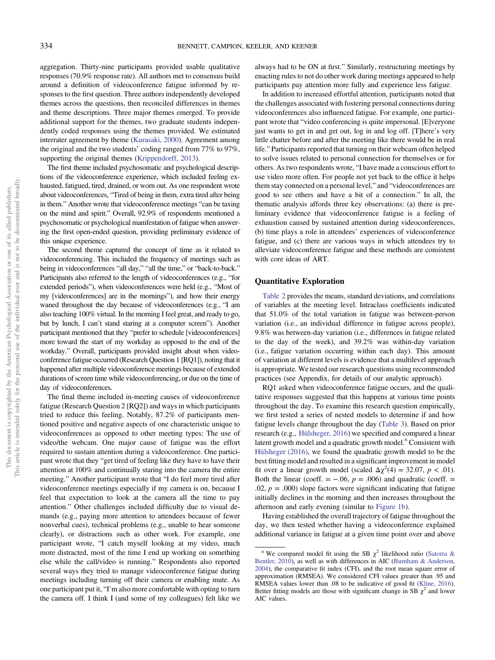aggregation. Thirty-nine participants provided usable qualitative responses (70.9% response rate). All authors met to consensus build around a definition of videoconference fatigue informed by responses to the first question. Three authors independently developed themes across the questions, then reconciled differences in themes and theme descriptions. Three major themes emerged. To provide additional support for the themes, two graduate students independently coded responses using the themes provided. We estimated interrater agreement by theme ([Kurasaki, 2000](#page-12-0)). Agreement among the original and the two students' coding ranged from 77% to 97%, supporting the original themes ([Krippendorff, 2013\)](#page-12-0).

The first theme included psychosomatic and psychological descriptions of the videoconference experience, which included feeling exhausted, fatigued, tired, drained, or worn out. As one respondent wrote about videoconferences, "Tired of being in them, extra tired after being in them." Another wrote that videoconference meetings "can be taxing on the mind and spirit." Overall, 92.9% of respondents mentioned a psychosomatic or psychological manifestation of fatigue when answering the first open-ended question, providing preliminary evidence of this unique experience.

The second theme captured the concept of time as it related to videoconferencing. This included the frequency of meetings such as being in videoconferences "all day," "all the time," or "back-to-back." Participants also referred to the length of videoconferences (e.g., "for extended periods"), when videoconferences were held (e.g., "Most of my [videoconferences] are in the mornings"), and how their energy waned throughout the day because of videoconferences (e.g., "I am also teaching 100% virtual. In the morning I feel great, and ready to go, but by lunch, I can't stand staring at a computer screen"). Another participant mentioned that they "prefer to schedule [videoconferences] more toward the start of my workday as opposed to the end of the workday." Overall, participants provided insight about when videoconference fatigue occurred (Research Question 1 [RQ1]), noting that it happened after multiple videoconference meetings because of extended durations of screen time while videoconferencing, or due on the time of day of videoconferences.

The final theme included in-meeting causes of videoconference fatigue (Research Question 2 [RQ2]) and ways in which participants tried to reduce this feeling. Notably, 87.2% of participants mentioned positive and negative aspects of one characteristic unique to videoconferences as opposed to other meeting types: The use of video/the webcam. One major cause of fatigue was the effort required to sustain attention during a videoconference. One participant wrote that they "get tired of feeling like they have to have their attention at 100% and continually staring into the camera the entire meeting." Another participant wrote that "I do feel more tired after videoconference meetings especially if my camera is on, because I feel that expectation to look at the camera all the time to pay attention." Other challenges included difficulty due to visual demands (e.g., paying more attention to attendees because of fewer nonverbal cues), technical problems (e.g., unable to hear someone clearly), or distractions such as other work. For example, one participant wrote, "I catch myself looking at my video, much more distracted, most of the time I end up working on something else while the call/video is running." Respondents also reported several ways they tried to manage videoconference fatigue during meetings including turning off their camera or enabling mute. As one participant put it, "I'm also more comfortable with opting to turn the camera off. I think I (and some of my colleagues) felt like we

always had to be ON at first." Similarly, restructuring meetings by enacting rules to not do other work during meetings appeared to help participants pay attention more fully and experience less fatigue.

In addition to increased effortful attention, participants noted that the challenges associated with fostering personal connections during videoconferences also influenced fatigue. For example, one participant wrote that "video conferencing is quite impersonal. [E]veryone just wants to get in and get out, log in and log off. [T]here's very little chatter before and after the meeting like there would be in real life." Participants reported that turning on their webcam often helped to solve issues related to personal connection for themselves or for others. As two respondents wrote, "I have made a conscious effort to use video more often. For people not yet back to the office it helps them stay connected on a personal level," and "videoconferences are good to see others and have a bit of a connection." In all, the thematic analysis affords three key observations: (a) there is preliminary evidence that videoconference fatigue is a feeling of exhaustion caused by sustained attention during videoconferences, (b) time plays a role in attendees' experiences of videoconference fatigue, and (c) there are various ways in which attendees try to alleviate videoconference fatigue and these methods are consistent with core ideas of ART.

# Quantitative Exploration

[Table 2](#page-5-0) provides the means, standard deviations, and correlations of variables at the meeting level. Intraclass coefficients indicated that 51.0% of the total variation in fatigue was between-person variation (i.e., an individual difference in fatigue across people), 9.8% was between-day variation (i.e., differences in fatigue related to the day of the week), and 39.2% was within-day variation (i.e., fatigue variation occurring within each day). This amount of variation at different levels is evidence that a multilevel approach is appropriate. We tested our research questions using recommended practices (see Appendix, for details of our analytic approach).

RQ1 asked when videoconference fatigue occurs, and the qualitative responses suggested that this happens at various time points throughout the day. To examine this research question empirically, we first tested a series of nested models to determine if and how fatigue levels change throughout the day ([Table 3](#page-6-0)). Based on prior research (e.g., [Hülsheger, 2016](#page-12-0)) we specified and compared a linear latent growth model and a quadratic growth model.<sup>6</sup> Consistent with [Hülsheger \(2016\)](#page-12-0), we found the quadratic growth model to be the best fitting model and resulted in a significant improvement in model fit over a linear growth model (scaled  $\Delta \chi^2(4) = 32.07$ ,  $p < .01$ ). Both the linear (coeff. =  $-0.06$ ,  $p = 0.006$ ) and quadratic (coeff. = .02,  $p = .000$ ) slope factors were significant indicating that fatigue initially declines in the morning and then increases throughout the afternoon and early evening (similar to [Figure 1b](#page-2-0)).

Having established the overall trajectory of fatigue throughout the day, we then tested whether having a videoconference explained additional variance in fatigue at a given time point over and above

<sup>&</sup>lt;sup>6</sup> We compared model fit using the SB  $\chi^2$  likelihood ratio ([Satorra &](#page-13-0) [Bentler, 2010\)](#page-13-0), as well as with differences in AIC [\(Burnham & Anderson,](#page-11-0) [2004\)](#page-11-0), the comparative fit index (CFI), and the root mean square error of approximation (RMSEA). We considered CFI values greater than .95 and RMSEA values lower than .08 to be indicative of good fit [\(Kline, 2016](#page-12-0)). Better fitting models are those with significant change in SB  $\chi^2$  and lower AIC values.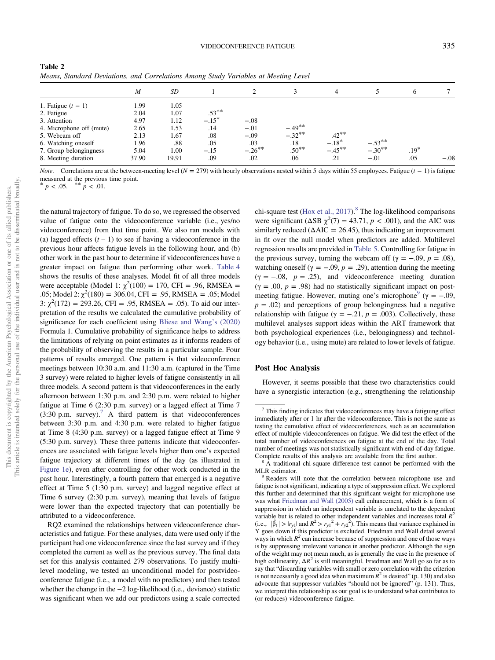<span id="page-5-0"></span>

| Table 2                                                                             |  |
|-------------------------------------------------------------------------------------|--|
| Means, Standard Deviations, and Correlations Among Study Variables at Meeting Level |  |

|                          | M     | SD    |          | $\Omega$  |          | 4         |          | 6      |        |
|--------------------------|-------|-------|----------|-----------|----------|-----------|----------|--------|--------|
| 1. Fatigue $(t - 1)$     | 1.99  | 1.05  |          |           |          |           |          |        |        |
| 2. Fatigue               | 2.04  | 1.07  | $.53***$ |           |          |           |          |        |        |
| 3. Attention             | 4.97  | 1.12  | $-.15*$  | $-.08$    |          |           |          |        |        |
| 4. Microphone off (mute) | 2.65  | 1.53  | .14      | $-.01$    | $-.49**$ |           |          |        |        |
| 5. Webcam off            | 2.13  | 1.67  | .08      | $-.09$    | $-.32**$ | $.42***$  |          |        |        |
| 6. Watching oneself      | 1.96  | .88   | .05      | .03       | .18      | $-.18*$   | $-.53**$ |        |        |
| 7. Group belongingness   | 5.04  | 1.00  | $-.15$   | $-.26***$ | $.50***$ | $-.45***$ | $-.30**$ | $.19*$ |        |
| 8. Meeting duration      | 37.90 | 19.91 | .09      | .02       | .06      | .21       | $-.01$   | .05    | $-.08$ |

*Note.* Correlations are at the between-meeting level ( $N = 279$ ) with hourly observations nested within 5 days within 55 employees. Fatigue (t – 1) is fatigue measured at the previous time point.

\*  $p < .05.$  \*\*  $p < .01.$ 

the natural trajectory of fatigue. To do so, we regressed the observed value of fatigue onto the videoconference variable (i.e., yes/no videoconference) from that time point. We also ran models with (a) lagged effects  $(t - 1)$  to see if having a videoconference in the previous hour affects fatigue levels in the following hour, and (b) other work in the past hour to determine if videoconferences have a greater impact on fatigue than performing other work. [Table 4](#page-7-0) shows the results of these analyses. Model fit of all three models were acceptable (Model 1:  $\chi^2(100) = 170$ , CFI = .96, RMSEA = .05; Model 2:  $\chi^2(180) = 306.04$ , CFI = .95, RMSEA = .05; Model 3:  $\chi^2(172) = 293.26$ , CFI = .95, RMSEA = .05). To aid our interpretation of the results we calculated the cumulative probability of significance for each coefficient using [Bliese and Wang](#page-11-0)'s (2020) Formula 1. Cumulative probability of significance helps to address the limitations of relying on point estimates as it informs readers of the probability of observing the results in a particular sample. Four patterns of results emerged. One pattern is that videoconference meetings between 10:30 a.m. and 11:30 a.m. (captured in the Time 3 survey) were related to higher levels of fatigue consistently in all three models. A second pattern is that videoconferences in the early afternoon between 1:30 p.m. and 2:30 p.m. were related to higher fatigue at Time 6 (2:30 p.m. survey) or a lagged effect at Time 7  $(3:30 \text{ p.m. survey})$ .<sup>7</sup> A third pattern is that videoconferences between 3:30 p.m. and 4:30 p.m. were related to higher fatigue at Time 8 (4:30 p.m. survey) or a lagged fatigue effect at Time 9 (5:30 p.m. survey). These three patterns indicate that videoconferences are associated with fatigue levels higher than one's expected fatigue trajectory at different times of the day (as illustrated in [Figure 1e\)](#page-2-0), even after controlling for other work conducted in the past hour. Interestingly, a fourth pattern that emerged is a negative effect at Time 5 (1:30 p.m. survey) and lagged negative effect at Time 6 survey (2:30 p.m. survey), meaning that levels of fatigue were lower than the expected trajectory that can potentially be attributed to a videoconference.

RQ2 examined the relationships between videoconference characteristics and fatigue. For these analyses, data were used only if the participant had one videoconference since the last survey and if they completed the current as well as the previous survey. The final data set for this analysis contained 279 observations. To justify multilevel modeling, we tested an unconditional model for postvideoconference fatigue (i.e., a model with no predictors) and then tested whether the change in the −2 log-likelihood (i.e., deviance) statistic was significant when we add our predictors using a scale corrected chi-square test (Hox et al.,  $2017$ ).<sup>8</sup> The log-likelihood comparisons were significant ( $\triangle$ SB  $\chi^2$ (7) = 43.71, p < .001), and the AIC was similarly reduced ( $\Delta AIC = 26.45$ ), thus indicating an improvement in fit over the null model when predictors are added. Multilevel regression results are provided in [Table 5.](#page-8-0) Controlling for fatigue in the previous survey, turning the webcam off ( $\gamma = -.09$ ,  $p = .08$ ), watching oneself ( $\gamma = -.09$ ,  $p = .29$ ), attention during the meeting  $(\gamma = -.08, p = .25)$ , and videoconference meeting duration  $(\gamma = .00, p = .98)$  had no statistically significant impact on postmeeting fatigue. However, muting one's microphone<sup>9</sup> ( $\gamma = -.09$ ,  $p = .02$ ) and perceptions of group belongingness had a negative relationship with fatigue ( $\gamma = -.21$ ,  $p = .003$ ). Collectively, these multilevel analyses support ideas within the ART framework that both psychological experiences (i.e., belongingness) and technology behavior (i.e., using mute) are related to lower levels of fatigue.

### Post Hoc Analysis

However, it seems possible that these two characteristics could have a synergistic interaction (e.g., strengthening the relationship

 $7$  This finding indicates that videoconferences may have a fatiguing effect immediately after or 1 hr after the videoconference. This is not the same as testing the cumulative effect of videoconferences, such as an accumulation effect of multiple videoconferences on fatigue. We did test the effect of the total number of videoconferences on fatigue at the end of the day. Total number of meetings was not statistically significant with end-of-day fatigue.

Complete results of this analysis are available from the first author.<br><sup>8</sup> A traditional chi-square difference test cannot be performed with the MLR estimator.

<sup>&</sup>lt;sup>9</sup> Readers will note that the correlation between microphone use and fatigue is not significant, indicating a type of suppression effect. We explored this further and determined that this significant weight for microphone use was what [Friedman and Wall \(2005\)](#page-12-0) call enhancement, which is a form of suppression in which an independent variable is unrelated to the dependent variable but is related to other independent variables and increases total  $R^2$ (i.e.,  $|\hat{\beta}_1| > |r_{y1}|$  and  $R^2 > r_{y1}^2 + r_{y2}^2$ ). This means that variance explained in Y goes down if this predictor is excluded. Friedman and Wall detail several ways in which  $R^2$  can increase because of suppression and one of those ways is by suppressing irrelevant variance in another predictor. Although the sign of the weight may not mean much, as is generally the case in the presence of high collinearity,  $\Delta R^2$  is still meaningful. Friedman and Wall go so far as to say that "discarding variables with small or zero correlation with the criterion is not necessarily a good idea when maximum  $R^2$  is desired" (p. 130) and also advocate that suppressor variables "should not be ignored" (p. 131). Thus, we interpret this relationship as our goal is to understand what contributes to (or reduces) videoconference fatigue.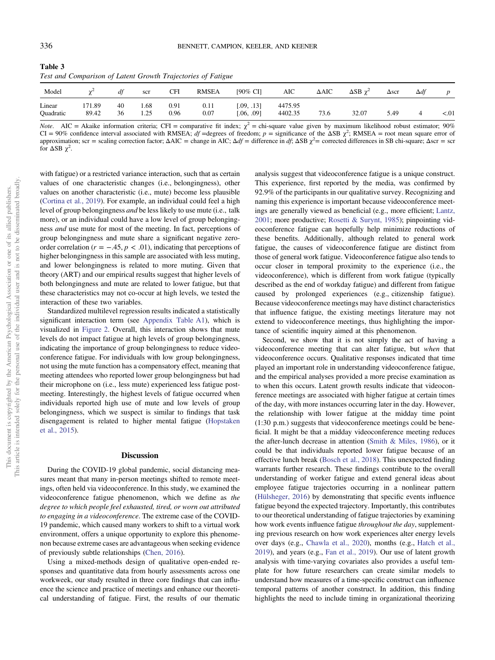<span id="page-6-0"></span>

| Table 3 |                                                              |  |  |
|---------|--------------------------------------------------------------|--|--|
|         | Test and Comparison of Latent Growth Trajectories of Fatigue |  |  |

| Model               |                 | df       | scr          | CFI          | <b>RMSEA</b> | [90% CI]                 | AIC                | $\Delta AIC$ | $\triangle$ SB $\gamma^2$ | $\Delta$ scr | $\Delta df$ | D    |
|---------------------|-----------------|----------|--------------|--------------|--------------|--------------------------|--------------------|--------------|---------------------------|--------------|-------------|------|
| Linear<br>Quadratic | 171.89<br>89.42 | 40<br>36 | l.68<br>1.25 | 0.91<br>0.96 | 0.11<br>0.07 | [.09, .13]<br>[.06, .09] | 4475.95<br>4402.35 | 73.6         | 32.07                     | 5.49         |             | < 01 |

*Note.* AIC = Akaike information criteria; CFI = comparative fit index;  $\chi^2$  = chi-square value given by maximum likelihood robust estimator; 90% CI = 90% confidence interval associated with RMSEA;  $df =$ degrees of freedom;  $p =$  significance of the  $\Delta SB \chi^2$ ; RMSEA = root mean square error of approximation; scr = scaling correction factor;  $\Delta AIC =$  change in AIC;  $\Delta df =$  difference in df;  $\Delta SB \chi^2 =$  corrected differences in SB chi-square;  $\Delta$ scr = scr for  $\triangle$ SB  $\chi^2$ .

with fatigue) or a restricted variance interaction, such that as certain values of one characteristic changes (i.e., belongingness), other values on another characteristic (i.e., mute) become less plausible ([Cortina et al., 2019\)](#page-12-0). For example, an individual could feel a high level of group belongingness and be less likely to use mute (i.e., talk more), or an individual could have a low level of group belongingness and use mute for most of the meeting. In fact, perceptions of group belongingness and mute share a significant negative zeroorder correlation ( $r = -.45, p < .01$ ), indicating that perceptions of higher belongingness in this sample are associated with less muting, and lower belongingness is related to more muting. Given that theory (ART) and our empirical results suggest that higher levels of both belongingness and mute are related to lower fatigue, but that these characteristics may not co-occur at high levels, we tested the interaction of these two variables.

Standardized multilevel regression results indicated a statistically significant interaction term (see [Appendix Table A1\)](#page-14-0), which is visualized in [Figure 2](#page-8-0). Overall, this interaction shows that mute levels do not impact fatigue at high levels of group belongingness, indicating the importance of group belongingness to reduce videoconference fatigue. For individuals with low group belongingness, not using the mute function has a compensatory effect, meaning that meeting attendees who reported lower group belongingness but had their microphone on (i.e., less mute) experienced less fatigue postmeeting. Interestingly, the highest levels of fatigue occurred when individuals reported high use of mute and low levels of group belongingness, which we suspect is similar to findings that task disengagement is related to higher mental fatigue ([Hopstaken](#page-12-0) [et al., 2015](#page-12-0)).

### **Discussion**

During the COVID-19 global pandemic, social distancing measures meant that many in-person meetings shifted to remote meetings, often held via videoconference. In this study, we examined the videoconference fatigue phenomenon, which we define as the degree to which people feel exhausted, tired, or worn out attributed to engaging in a videoconference. The extreme case of the COVID-19 pandemic, which caused many workers to shift to a virtual work environment, offers a unique opportunity to explore this phenomenon because extreme cases are advantageous when seeking evidence of previously subtle relationships ([Chen, 2016\)](#page-12-0).

Using a mixed-methods design of qualitative open-ended responses and quantitative data from hourly assessments across one workweek, our study resulted in three core findings that can influence the science and practice of meetings and enhance our theoretical understanding of fatigue. First, the results of our thematic

analysis suggest that videoconference fatigue is a unique construct. This experience, first reported by the media, was confirmed by 92.9% of the participants in our qualitative survey. Recognizing and naming this experience is important because videoconference meetings are generally viewed as beneficial (e.g., more efficient; [Lantz,](#page-12-0) [2001;](#page-12-0) more productive; [Rosetti & Surynt, 1985](#page-13-0)); pinpointing videoconference fatigue can hopefully help minimize reductions of these benefits. Additionally, although related to general work fatigue, the causes of videoconference fatigue are distinct from those of general work fatigue. Videoconference fatigue also tends to occur closer in temporal proximity to the experience (i.e., the videoconference), which is different from work fatigue (typically described as the end of workday fatigue) and different from fatigue caused by prolonged experiences (e.g., citizenship fatigue). Because videoconference meetings may have distinct characteristics that influence fatigue, the existing meetings literature may not extend to videoconference meetings, thus highlighting the importance of scientific inquiry aimed at this phenomenon.

Second, we show that it is not simply the act of having a videoconference meeting that can alter fatigue, but when that videoconference occurs. Qualitative responses indicated that time played an important role in understanding videoconference fatigue, and the empirical analyses provided a more precise examination as to when this occurs. Latent growth results indicate that videoconference meetings are associated with higher fatigue at certain times of the day, with more instances occurring later in the day. However, the relationship with lower fatigue at the midday time point (1:30 p.m.) suggests that videoconference meetings could be beneficial. It might be that a midday videoconference meeting reduces the after-lunch decrease in attention ([Smith & Miles, 1986](#page-13-0)), or it could be that individuals reported lower fatigue because of an effective lunch break ([Bosch et al., 2018\)](#page-11-0). This unexpected finding warrants further research. These findings contribute to the overall understanding of worker fatigue and extend general ideas about employee fatigue trajectories occurring in a nonlinear pattern ([Hülsheger, 2016\)](#page-12-0) by demonstrating that specific events influence fatigue beyond the expected trajectory. Importantly, this contributes to our theoretical understanding of fatigue trajectories by examining how work events influence fatigue *throughout the day*, supplementing previous research on how work experiences alter energy levels over days (e.g., [Chawla et al., 2020\)](#page-11-0), months (e.g., [Hatch et al.,](#page-12-0) [2019\)](#page-12-0), and years (e.g., [Fan et al., 2019](#page-12-0)). Our use of latent growth analysis with time-varying covariates also provides a useful template for how future researchers can create similar models to understand how measures of a time-specific construct can influence temporal patterns of another construct. In addition, this finding highlights the need to include timing in organizational theorizing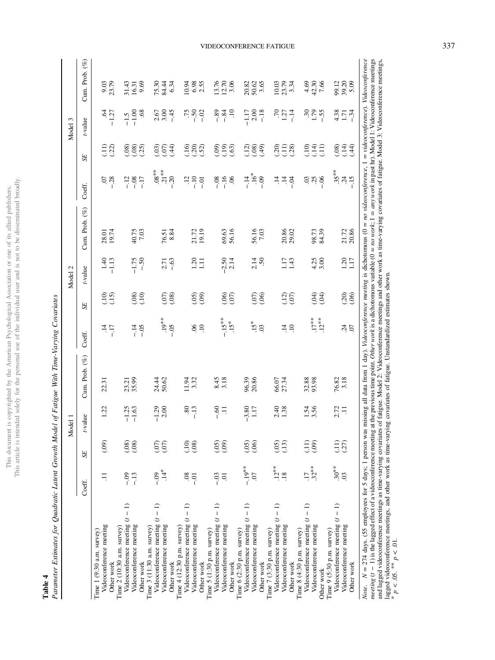| ï                                                                                                                                                                                                                             | ï                   |
|-------------------------------------------------------------------------------------------------------------------------------------------------------------------------------------------------------------------------------|---------------------|
|                                                                                                                                                                                                                               |                     |
|                                                                                                                                                                                                                               |                     |
| ļ                                                                                                                                                                                                                             |                     |
|                                                                                                                                                                                                                               |                     |
| ξ<br>i<br>J                                                                                                                                                                                                                   | ć                   |
| I                                                                                                                                                                                                                             | $\frac{1}{2}$       |
| I                                                                                                                                                                                                                             | $\frac{1}{2}$       |
|                                                                                                                                                                                                                               |                     |
| į<br>J                                                                                                                                                                                                                        | Í<br>í              |
| $\frac{4}{3}$<br>l<br>j                                                                                                                                                                                                       |                     |
| Ì<br>į                                                                                                                                                                                                                        |                     |
| is a contract of the contract of the contract of the contract of the contract of the contract of the contract of the contract of the contract of the contract of the contract of the contract of the contract of the contract |                     |
| $\lim_{t \to \infty} t^t$                                                                                                                                                                                                     | $\sim$ order $\sim$ |
|                                                                                                                                                                                                                               | his<br>į<br>ï       |

# Table 4

Parameter Estimates for Quadratic Latent Growth Model of Fatigue With Time-Varying Covariates Parameter Estimates for Quadratic Latent Growth Model of Fatigue With Time-Varying Covariates

<span id="page-7-0"></span>

|                                                                                                                                        |                             |                                    | Model 1            |                |                                    |                                   | Model 2         |                                                                                                                                                                                                                                                                                         |                                     |                                | Model 3                      |                            |
|----------------------------------------------------------------------------------------------------------------------------------------|-----------------------------|------------------------------------|--------------------|----------------|------------------------------------|-----------------------------------|-----------------|-----------------------------------------------------------------------------------------------------------------------------------------------------------------------------------------------------------------------------------------------------------------------------------------|-------------------------------------|--------------------------------|------------------------------|----------------------------|
|                                                                                                                                        | Coeff.                      | SE                                 | t-value            | Cum. Prob. (%) | Coeff.                             | SE                                | t-value         | Cum. Prob. (%)                                                                                                                                                                                                                                                                          | Coeff.                              | SE                             | t-value                      | Cum. Prob. (%)             |
| Videoconference meeting<br>Time $1(9:30 \text{ a.m. survey})$<br>Other work                                                            | Ξ                           | (0.09)                             | 1.22               | 22.31          | $\overline{14}$<br>$-17$           | $\frac{10}{2}$<br>$\overline{15}$ | $1.40$<br>-1.13 | 28.01<br>19.74                                                                                                                                                                                                                                                                          | $-28$                               | $\Xi\overline{\mathrm{3}}$     | $-1.27$                      | 9.03<br>23.79              |
| Videoconference meeting $(t - 1)$<br>Videoconference meeting<br>Time $2(10:30$ a.m. survey)<br>Other work                              | $-13$<br>$-0.9$             | (.08)<br>(0.08)                    | $-1.25$<br>$-1.63$ | 23.21<br>35.99 | $-14$<br>$-0.5$                    | (10)<br>(80)                      | $-1.75$<br>- 50 | 40.75<br>7.03                                                                                                                                                                                                                                                                           | $-12$<br>$-0.08$<br>$-17$           | (.08)<br>(25)<br>(80)          | .68<br>$-1.00$<br>$-1.5$     | 9.69<br>31.43<br>16.31     |
| Videoconference meeting $(t - 1)$<br>Videoconference meeting<br>Time $3(11:30 a.m. survey)$<br>Other work                              | $14*$<br>$-0.09$            | (50)<br>(0,0)                      | 2.00<br>$-1.29$    | 24.44<br>50.62 | $.19***$<br>$-0.5$                 | (80)<br>$\widetilde{E}$           | $-63$<br>2.71   | 76.51<br>8.84                                                                                                                                                                                                                                                                           | $.08***$<br>$21***$<br>$-20$        | (03)<br>(07)<br>$\widehat{44}$ | $\frac{2.67}{3.00}$<br>$-45$ | 75.30<br>84.44<br>6.34     |
| Videoconference meeting $(t - 1)$<br>Videoconference meeting<br>Time $4(12:30 \text{ p.m. survey})$<br>Other work                      | 08<br>$-0$                  | (10)<br>(0.08)                     | 80<br>$-13$        | 3.32<br>11.94  | $90^{\circ}$<br>$\overline{10}$    | <u>၉၈</u>                         | 1.11            | 21.72                                                                                                                                                                                                                                                                                   | $\overline{12}$<br>$-10$<br>$-0.01$ | $\frac{6}{2}$<br>(30)          | 5<br>15<br>1 -               | 6.98<br>10.94<br>2.55      |
| Videoconference meeting $(t - 1)$<br>Videoconference meeting<br>Time $5(1:30 p.m. survey)$<br>Other work                               | $-0.3$<br>5.                | (09)<br>(05)                       | $-0.60$<br>$\Xi$   | 8.45<br>3.18   | $-.15***$<br>$15*$                 | န္သန္                             | $-2.50$<br>2.14 | 69.63<br>56.16                                                                                                                                                                                                                                                                          | $-16$<br>$-0.08$<br>$\mathcal{S}$   | (.19)<br>(.09)<br>(63)         | $\Xi$<br>$-89$<br>$-84$      | 13.76<br>12.70<br>3.06     |
| Videoconference meeting $(t - 1)$<br>Videoconference meeting<br>Time $6(2:30 p.m. survey)$<br>Other work                               | $-19**$<br>$\overline{0}$ . | (05)<br>(06)                       | $-3.80$<br>1.17    | 96.39<br>20.86 | $15*$<br>$\overline{0}$            | (5)<br>$\widetilde{\mathcal{S}}$  | 2.14<br>50      | 56.16<br>7.03                                                                                                                                                                                                                                                                           | $-16*$<br>$-14$<br>$-0.9$           | (12)<br>(64)                   | 2.00<br>$-18$<br>$-1.17$     | 20.82<br>50.65             |
| Videoconference meeting $(t - 1)$<br>Videoconference meeting<br>Time 7 (3:30 p.m. survey)<br>Other work                                | $.12***$<br>.18             | (05)<br>(13)                       | 2.40<br>1.38       | 66.07<br>27.34 | $\overline{14}$<br>$\overline{10}$ | (12)<br>(50)                      | 1.17<br>1.43    | 20.86                                                                                                                                                                                                                                                                                   | $\ddot{=}$<br>$\ddot{=}$<br>₽.<br>1 | (11)<br>(20)<br>(28)           | $^{70}_{1.27}$<br>$-14$      | 10.03<br>23.79<br>3.34     |
| Videoconference meeting $(t - 1)$<br>Videoconference meeting<br>Time 8 (4:30 p.m. survey)<br>Other work                                | $.32***$<br>$\overline{11}$ | $\left(\frac{1}{1}\right)$<br>(99) | 1.54<br>3.56       | 32.88<br>93.98 | $.17***$<br>$12***$                | EO.<br>$\widetilde{H}$            | 4.25<br>3.00    | 98.73<br>84.39                                                                                                                                                                                                                                                                          | $\ddot{S}$<br>$-0.6$                | (14)<br>(10)<br>ЭÎ             | $30.75$<br>$-1.55$           | $4,30$<br>$7,56$<br>$7,56$ |
| Videoconference meeting $(t - 1)$<br>Videoconference meeting<br>Time $9(5:30 \text{ p.m. survey})$<br>Other work                       | $.30***$<br>$\overline{0}$  | (11)<br>(27)                       | 2.72<br>$\Xi$      | 3.18<br>76.82  | 24<br>$\overline{C}$               | (20)<br>(.06)                     | 1.17            | 21.72<br>20.86                                                                                                                                                                                                                                                                          | $35***$<br>$-15$<br>$\ddot{c}$      | (.08)<br>(14)<br>(44)          | $4.38$<br>1.71<br>$-34$      | 99.12<br>39.20<br>5.09     |
| $N = 274$ days. (55 employees for 5 days; 1 person was<br>meeting $(t - 1)$ is the lagged effect of a videoconference meeting<br>Note. |                             |                                    |                    |                |                                    |                                   |                 | missing all data from 1 day). Videoconference meeting is dichotomous ( $0 = no$ videoconference, $1 = video conference$ , Videoconference<br>at the previous time point. Other work is a dichotomous variable (0 = no work; 1 = any work in past hr). Model 1: Videoconference meetings |                                     |                                |                              |                            |

VIDEOCONFERENCE FATIGUE 337

and lagged videoconference meetings as time-varying covariates of fatigue. Model 2: Videoconference meetings and other work as time-varying covariates of fatigue. Model 3: Videoconference meetings,

lagged videoconference meetings, and other work as time-varying covariates of fatigue. Unstandardized estimates shown.

\*

\*  $p < 0.05$ . \*\*  $p < 0.01$ .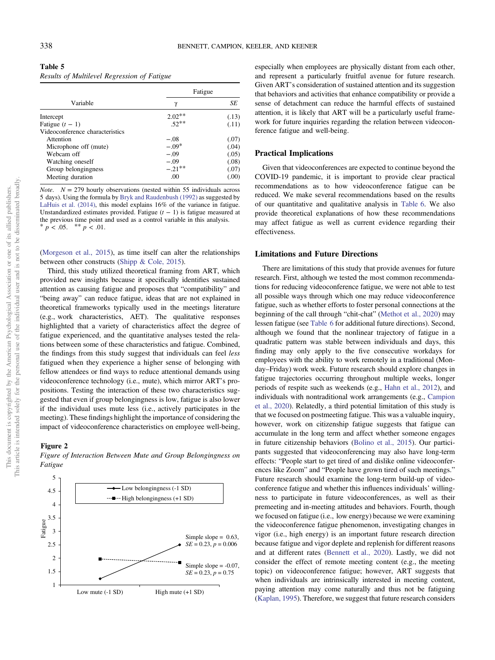<span id="page-8-0"></span>

| Table 5                                     |  |
|---------------------------------------------|--|
| Results of Multilevel Regression of Fatigue |  |

|                                 | Fatigue   |        |
|---------------------------------|-----------|--------|
| Variable                        | γ         | SE     |
| Intercept                       | $2.02**$  | (.13)  |
| Fatigue $(t - 1)$               | $.52**$   | (.11)  |
| Videoconference characteristics |           |        |
| Attention                       | $-.08$    | (.07)  |
| Microphone off (mute)           | $-.09*$   | (.04)  |
| Webcam off                      | $-.09$    | (.05)  |
| Watching oneself                | $-.09$    | (.08)  |
| Group belongingness             | $-.21***$ | (.07)  |
| Meeting duration                | .00       | (0.00) |

*Note.*  $N = 279$  hourly observations (nested within 55 individuals across 5 days). Using the formula by [Bryk and Raudenbush \(1992\)](#page-11-0) as suggested by [LaHuis et al. \(2014\)](#page-12-0), this model explains 16% of the variance in fatigue. Unstandardized estimates provided. Fatigue  $(t − 1)$  is fatigue measured at the previous time point and used as a control variable in this analysis. \*  $p < .05.$  \*\*  $p < .01.$ 

([Morgeson et al., 2015\)](#page-13-0), as time itself can alter the relationships between other constructs ([Shipp & Cole, 2015\)](#page-13-0).

Third, this study utilized theoretical framing from ART, which provided new insights because it specifically identifies sustained attention as causing fatigue and proposes that "compatibility" and "being away" can reduce fatigue, ideas that are not explained in theoretical frameworks typically used in the meetings literature (e.g., work characteristics, AET). The qualitative responses highlighted that a variety of characteristics affect the degree of fatigue experienced, and the quantitative analyses tested the relations between some of these characteristics and fatigue. Combined, the findings from this study suggest that individuals can feel less fatigued when they experience a higher sense of belonging with fellow attendees or find ways to reduce attentional demands using videoconference technology (i.e., mute), which mirror ART's propositions. Testing the interaction of these two characteristics suggested that even if group belongingness is low, fatigue is also lower if the individual uses mute less (i.e., actively participates in the meeting). These findings highlight the importance of considering the impact of videoconference characteristics on employee well-being,

## Figure 2

Figure of Interaction Between Mute and Group Belongingness on Fatigue



especially when employees are physically distant from each other, and represent a particularly fruitful avenue for future research. Given ART's consideration of sustained attention and its suggestion that behaviors and activities that enhance compatibility or provide a sense of detachment can reduce the harmful effects of sustained attention, it is likely that ART will be a particularly useful framework for future inquiries regarding the relation between videoconference fatigue and well-being.

# Practical Implications

Given that videoconferences are expected to continue beyond the COVID-19 pandemic, it is important to provide clear practical recommendations as to how videoconference fatigue can be reduced. We make several recommendations based on the results of our quantitative and qualitative analysis in [Table 6](#page-9-0). We also provide theoretical explanations of how these recommendations may affect fatigue as well as current evidence regarding their effectiveness.

# Limitations and Future Directions

There are limitations of this study that provide avenues for future research. First, although we tested the most common recommendations for reducing videoconference fatigue, we were not able to test all possible ways through which one may reduce videoconference fatigue, such as whether efforts to foster personal connections at the beginning of the call through "chit-chat" ([Methot et al., 2020](#page-13-0)) may lessen fatigue (see [Table 6](#page-9-0) for additional future directions). Second, although we found that the nonlinear trajectory of fatigue in a quadratic pattern was stable between individuals and days, this finding may only apply to the five consecutive workdays for employees with the ability to work remotely in a traditional (Monday–Friday) work week. Future research should explore changes in fatigue trajectories occurring throughout multiple weeks, longer periods of respite such as weekends (e.g., [Hahn et al., 2012\)](#page-12-0), and individuals with nontraditional work arrangements (e.g., [Campion](#page-11-0) [et al., 2020](#page-11-0)). Relatedly, a third potential limitation of this study is that we focused on postmeeting fatigue. This was a valuable inquiry, however, work on citizenship fatigue suggests that fatigue can accumulate in the long term and affect whether someone engages in future citizenship behaviors ([Bolino et al., 2015](#page-11-0)). Our participants suggested that videoconferencing may also have long-term effects: "People start to get tired of and dislike online videoconferences like Zoom" and "People have grown tired of such meetings." Future research should examine the long-term build-up of videoconference fatigue and whether this influences individuals' willingness to participate in future videoconferences, as well as their premeeting and in-meeting attitudes and behaviors. Fourth, though we focused on fatigue (i.e., low energy) because we were examining the videoconference fatigue phenomenon, investigating changes in vigor (i.e., high energy) is an important future research direction because fatigue and vigor deplete and replenish for different reasons and at different rates [\(Bennett et al., 2020](#page-11-0)). Lastly, we did not consider the effect of remote meeting content (e.g., the meeting topic) on videoconference fatigue; however, ART suggests that when individuals are intrinsically interested in meeting content, paying attention may come naturally and thus not be fatiguing ([Kaplan, 1995\)](#page-12-0). Therefore, we suggest that future research considers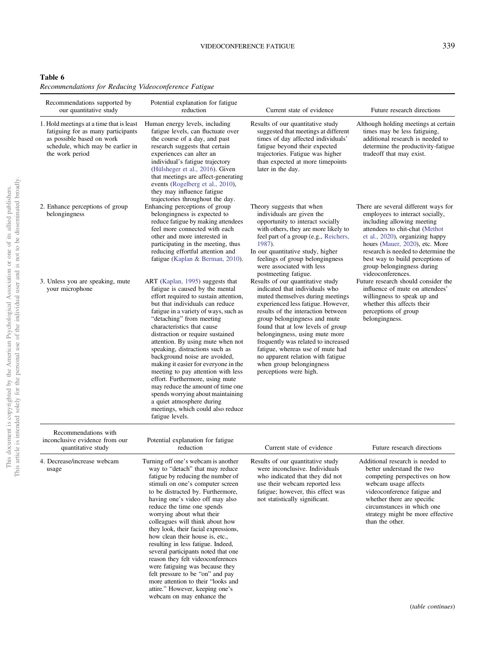# VIDEOCONFERENCE FATIGUE 339

<span id="page-9-0"></span>Recommendations for Reducing Videoconference Fatigue

| Recommendations supported by<br>our quantitative study                                                                                                              | Potential explanation for fatigue<br>reduction                                                                                                                                                                                                                                                                                                                                                                                                                                                                                                                                                                                                                                                  | Current state of evidence                                                                                                                                                                                                                                                                                                                                                                                                                                        | Future research directions                                                                                                                                                                                                                                                                                                                 |
|---------------------------------------------------------------------------------------------------------------------------------------------------------------------|-------------------------------------------------------------------------------------------------------------------------------------------------------------------------------------------------------------------------------------------------------------------------------------------------------------------------------------------------------------------------------------------------------------------------------------------------------------------------------------------------------------------------------------------------------------------------------------------------------------------------------------------------------------------------------------------------|------------------------------------------------------------------------------------------------------------------------------------------------------------------------------------------------------------------------------------------------------------------------------------------------------------------------------------------------------------------------------------------------------------------------------------------------------------------|--------------------------------------------------------------------------------------------------------------------------------------------------------------------------------------------------------------------------------------------------------------------------------------------------------------------------------------------|
| 1. Hold meetings at a time that is least<br>fatiguing for as many participants<br>as possible based on work<br>schedule, which may be earlier in<br>the work period | Human energy levels, including<br>fatigue levels, can fluctuate over<br>the course of a day, and past<br>research suggests that certain<br>experiences can alter an<br>individual's fatigue trajectory<br>(Hülsheger et al., 2016). Given<br>that meetings are affect-generating<br>events (Rogelberg et al., 2010),<br>they may influence fatigue<br>trajectories throughout the day.                                                                                                                                                                                                                                                                                                          | Results of our quantitative study<br>suggested that meetings at different<br>times of day affected individuals'<br>fatigue beyond their expected<br>trajectories. Fatigue was higher<br>than expected at more timepoints<br>later in the day.                                                                                                                                                                                                                    | Although holding meetings at certain<br>times may be less fatiguing,<br>additional research is needed to<br>determine the productivity-fatigue<br>tradeoff that may exist.                                                                                                                                                                 |
| 2. Enhance perceptions of group<br>belongingness                                                                                                                    | Enhancing perceptions of group<br>belongingness is expected to<br>reduce fatigue by making attendees<br>feel more connected with each<br>other and more interested in<br>participating in the meeting, thus<br>reducing effortful attention and<br>fatigue (Kaplan & Berman, 2010).                                                                                                                                                                                                                                                                                                                                                                                                             | Theory suggests that when<br>individuals are given the<br>opportunity to interact socially<br>with others, they are more likely to<br>feel part of a group (e.g., Reichers,<br>1987).<br>In our quantitative study, higher<br>feelings of group belongingness<br>were associated with less<br>postmeeting fatigue.                                                                                                                                               | There are several different ways for<br>employees to interact socially,<br>including allowing meeting<br>attendees to chit-chat (Methot<br>et al., 2020), organizing happy<br>hours (Mauer, 2020), etc. More<br>research is needed to determine the<br>best way to build perceptions of<br>group belongingness during<br>videoconferences. |
| 3. Unless you are speaking, mute<br>your microphone                                                                                                                 | ART (Kaplan, 1995) suggests that<br>fatigue is caused by the mental<br>effort required to sustain attention,<br>but that individuals can reduce<br>fatigue in a variety of ways, such as<br>"detaching" from meeting<br>characteristics that cause<br>distraction or require sustained<br>attention. By using mute when not<br>speaking, distractions such as<br>background noise are avoided,<br>making it easier for everyone in the<br>meeting to pay attention with less<br>effort. Furthermore, using mute<br>may reduce the amount of time one<br>spends worrying about maintaining<br>a quiet atmosphere during<br>meetings, which could also reduce<br>fatigue levels.                  | Results of our quantitative study<br>indicated that individuals who<br>muted themselves during meetings<br>experienced less fatigue. However,<br>results of the interaction between<br>group belongingness and mute<br>found that at low levels of group<br>belongingness, using mute more<br>frequently was related to increased<br>fatigue, whereas use of mute had<br>no apparent relation with fatigue<br>when group belongingness<br>perceptions were high. | Future research should consider the<br>influence of mute on attendees'<br>willingness to speak up and<br>whether this affects their<br>perceptions of group<br>belongingness.                                                                                                                                                              |
| Recommendations with<br>inconclusive evidence from our<br>quantitative study                                                                                        | Potential explanation for fatigue<br>reduction                                                                                                                                                                                                                                                                                                                                                                                                                                                                                                                                                                                                                                                  | Current state of evidence                                                                                                                                                                                                                                                                                                                                                                                                                                        | Future research directions                                                                                                                                                                                                                                                                                                                 |
| 4. Decrease/increase webcam<br>usage                                                                                                                                | Turning off one's webcam is another<br>way to "detach" that may reduce<br>fatigue by reducing the number of<br>stimuli on one's computer screen<br>to be distracted by. Furthermore,<br>having one's video off may also<br>reduce the time one spends<br>worrying about what their<br>colleagues will think about how<br>they look, their facial expressions,<br>how clean their house is, etc.,<br>resulting in less fatigue. Indeed,<br>several participants noted that one<br>reason they felt videoconferences<br>were fatiguing was because they<br>felt pressure to be "on" and pay<br>more attention to their "looks and<br>attire." However, keeping one's<br>webcam on may enhance the | Results of our quantitative study<br>were inconclusive. Individuals<br>who indicated that they did not<br>use their webcam reported less<br>fatigue; however, this effect was<br>not statistically significant.                                                                                                                                                                                                                                                  | Additional research is needed to<br>better understand the two<br>competing perspectives on how<br>webcam usage affects<br>videoconference fatigue and<br>whether there are specific<br>circumstances in which one<br>strategy might be more effective<br>than the other.                                                                   |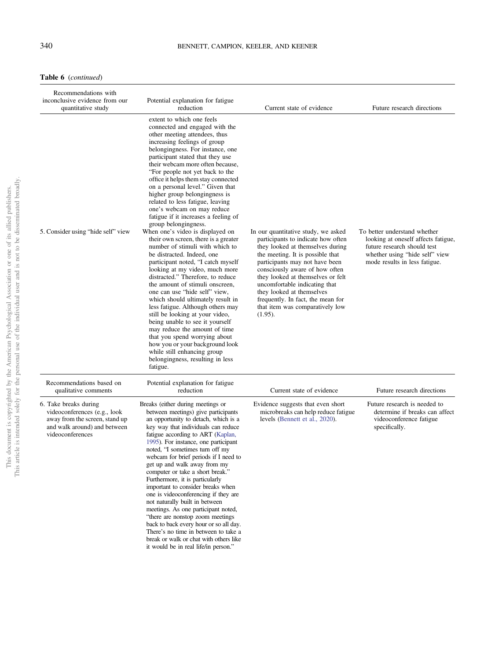Table 6 (continued)

| Recommendations with<br>inconclusive evidence from our<br>quantitative study                                                                | Potential explanation for fatigue<br>reduction                                                                                                                                                                                                                                                                                                                                                                                                                                                                                                                                                                                                                                                                                                                                                                                                                                                                                                                                                                                                                                                                                                                                              | Current state of evidence                                                                                                                                                                                                                                                                                                                                                                                   | Future research directions                                                                                                                                            |
|---------------------------------------------------------------------------------------------------------------------------------------------|---------------------------------------------------------------------------------------------------------------------------------------------------------------------------------------------------------------------------------------------------------------------------------------------------------------------------------------------------------------------------------------------------------------------------------------------------------------------------------------------------------------------------------------------------------------------------------------------------------------------------------------------------------------------------------------------------------------------------------------------------------------------------------------------------------------------------------------------------------------------------------------------------------------------------------------------------------------------------------------------------------------------------------------------------------------------------------------------------------------------------------------------------------------------------------------------|-------------------------------------------------------------------------------------------------------------------------------------------------------------------------------------------------------------------------------------------------------------------------------------------------------------------------------------------------------------------------------------------------------------|-----------------------------------------------------------------------------------------------------------------------------------------------------------------------|
| 5. Consider using "hide self" view                                                                                                          | extent to which one feels<br>connected and engaged with the<br>other meeting attendees, thus<br>increasing feelings of group<br>belongingness. For instance, one<br>participant stated that they use<br>their webcam more often because,<br>"For people not yet back to the<br>office it helps them stay connected<br>on a personal level." Given that<br>higher group belongingness is<br>related to less fatigue, leaving<br>one's webcam on may reduce<br>fatigue if it increases a feeling of<br>group belongingness.<br>When one's video is displayed on<br>their own screen, there is a greater<br>number of stimuli with which to<br>be distracted. Indeed, one<br>participant noted, "I catch myself<br>looking at my video, much more<br>distracted." Therefore, to reduce<br>the amount of stimuli onscreen,<br>one can use "hide self" view,<br>which should ultimately result in<br>less fatigue. Although others may<br>still be looking at your video,<br>being unable to see it yourself<br>may reduce the amount of time<br>that you spend worrying about<br>how you or your background look<br>while still enhancing group<br>belongingness, resulting in less<br>fatigue. | In our quantitative study, we asked<br>participants to indicate how often<br>they looked at themselves during<br>the meeting. It is possible that<br>participants may not have been<br>consciously aware of how often<br>they looked at themselves or felt<br>uncomfortable indicating that<br>they looked at themselves<br>frequently. In fact, the mean for<br>that item was comparatively low<br>(1.95). | To better understand whether<br>looking at oneself affects fatigue,<br>future research should test<br>whether using "hide self" view<br>mode results in less fatigue. |
| Recommendations based on<br>qualitative comments                                                                                            | Potential explanation for fatigue<br>reduction                                                                                                                                                                                                                                                                                                                                                                                                                                                                                                                                                                                                                                                                                                                                                                                                                                                                                                                                                                                                                                                                                                                                              | Current state of evidence                                                                                                                                                                                                                                                                                                                                                                                   | Future research directions                                                                                                                                            |
| 6. Take breaks during<br>videoconferences (e.g., look<br>away from the screen, stand up<br>and walk around) and between<br>videoconferences | Breaks (either during meetings or<br>between meetings) give participants<br>an opportunity to detach, which is a<br>key way that individuals can reduce<br>fatigue according to ART (Kaplan,<br>1995). For instance, one participant<br>noted, "I sometimes turn off my<br>webcam for brief periods if I need to<br>get up and walk away from my<br>computer or take a short break."<br>Furthermore, it is particularly<br>important to consider breaks when<br>one is videoconferencing if they are<br>not naturally built in between<br>meetings. As one participant noted,<br>"there are nonstop zoom meetings<br>back to back every hour or so all day.<br>There's no time in between to take a<br>break or walk or chat with others like<br>it would be in real life/in person."                                                                                                                                                                                                                                                                                                                                                                                                       | Evidence suggests that even short<br>microbreaks can help reduce fatigue<br>levels (Bennett et al., 2020).                                                                                                                                                                                                                                                                                                  | Future research is needed to<br>determine if breaks can affect<br>videoconference fatigue<br>specifically.                                                            |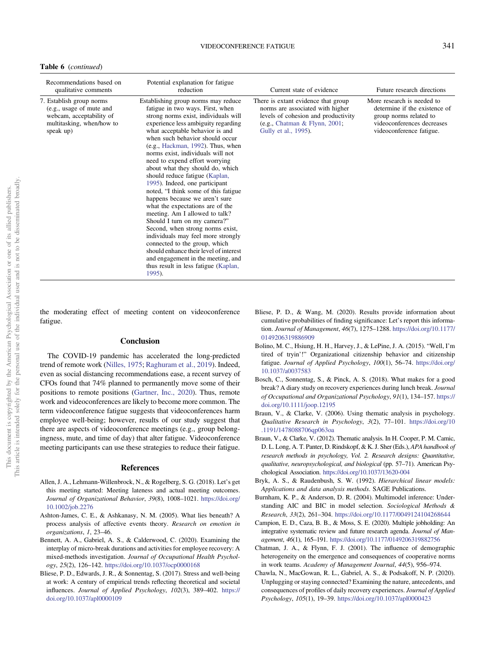# VIDEOCONFERENCE FATIGUE 341

<span id="page-11-0"></span>

| Recommendations based on<br>qualitative comments                                                                           | Potential explanation for fatigue<br>reduction                                                                                                                                                                                                                                                                                                                                                                                                                                                                                                                                                                                                                                                                                                                                                                                                                                | Current state of evidence                                                                                                                                               | Future research directions                                                                                                                      |
|----------------------------------------------------------------------------------------------------------------------------|-------------------------------------------------------------------------------------------------------------------------------------------------------------------------------------------------------------------------------------------------------------------------------------------------------------------------------------------------------------------------------------------------------------------------------------------------------------------------------------------------------------------------------------------------------------------------------------------------------------------------------------------------------------------------------------------------------------------------------------------------------------------------------------------------------------------------------------------------------------------------------|-------------------------------------------------------------------------------------------------------------------------------------------------------------------------|-------------------------------------------------------------------------------------------------------------------------------------------------|
| 7. Establish group norms<br>(e.g., usage of mute and<br>webcam, acceptability of<br>multitasking, when/how to<br>speak up) | Establishing group norms may reduce<br>fatigue in two ways. First, when<br>strong norms exist, individuals will<br>experience less ambiguity regarding<br>what acceptable behavior is and<br>when such behavior should occur<br>(e.g., Hackman, 1992). Thus, when<br>norms exist, individuals will not<br>need to expend effort worrying<br>about what they should do, which<br>should reduce fatigue (Kaplan,<br>1995). Indeed, one participant<br>noted, "I think some of this fatigue<br>happens because we aren't sure<br>what the expectations are of the<br>meeting. Am I allowed to talk?<br>Should I turn on my camera?"<br>Second, when strong norms exist,<br>individuals may feel more strongly<br>connected to the group, which<br>should enhance their level of interest<br>and engagement in the meeting, and<br>thus result in less fatigue (Kaplan,<br>1995). | There is extant evidence that group<br>norms are associated with higher<br>levels of cohesion and productivity<br>(e.g., Chatman & Flynn, 2001;<br>Gully et al., 1995). | More research is needed to<br>determine if the existence of<br>group norms related to<br>videoconferences decreases<br>videoconference fatigue. |

the moderating effect of meeting content on videoconference fatigue.

# Conclusion

The COVID-19 pandemic has accelerated the long-predicted trend of remote work [\(Nilles, 1975;](#page-13-0) [Raghuram et al., 2019](#page-13-0)). Indeed, even as social distancing recommendations ease, a recent survey of CFOs found that 74% planned to permanently move some of their positions to remote positions ([Gartner, Inc., 2020](#page-12-0)). Thus, remote work and videoconferences are likely to become more common. The term videoconference fatigue suggests that videoconferences harm employee well-being; however, results of our study suggest that there are aspects of videoconference meetings (e.g., group belongingness, mute, and time of day) that alter fatigue. Videoconference meeting participants can use these strategies to reduce their fatigue.

## References

- Allen, J. A., Lehmann-Willenbrock, N., & Rogelberg, S. G. (2018). Let's get this meeting started: Meeting lateness and actual meeting outcomes. Journal of Organizational Behavior, 39(8), 1008–1021. [https://doi.org/](https://doi.org/10.1002/job.2276) [10.1002/job.2276](https://doi.org/10.1002/job.2276)
- Ashton-James, C. E., & Ashkanasy, N. M. (2005). What lies beneath? A process analysis of affective events theory. Research on emotion in organizations, 1, 23–46.
- Bennett, A. A., Gabriel, A. S., & Calderwood, C. (2020). Examining the interplay of micro-break durations and activities for employee recovery: A mixed-methods investigation. Journal of Occupational Health Psychology, 25(2), 126–142. <https://doi.org/10.1037/ocp0000168>
- Bliese, P. D., Edwards, J. R., & Sonnentag, S. (2017). Stress and well-being at work: A century of empirical trends reflecting theoretical and societal influences. Journal of Applied Psychology, 102(3), 389–402. [https://](https://doi.org/10.1037/apl0000109) [doi.org/10.1037/apl0000109](https://doi.org/10.1037/apl0000109)
- Bliese, P. D., & Wang, M. (2020). Results provide information about cumulative probabilities of finding significance: Let's report this information. Journal of Management, 46(7), 1275–1288. [https://doi.org/10.1177/](https://doi.org/10.1177/0149206319886909) [0149206319886909](https://doi.org/10.1177/0149206319886909)
- Bolino, M. C., Hsiung, H. H., Harvey, J., & LePine, J. A. (2015). "Well, I'm tired of tryin'!" Organizational citizenship behavior and citizenship fatigue. Journal of Applied Psychology, 100(1), 56–74. [https://doi.org/](https://doi.org/10.1037/a0037583) [10.1037/a0037583](https://doi.org/10.1037/a0037583)
- Bosch, C., Sonnentag, S., & Pinck, A. S. (2018). What makes for a good break? A diary study on recovery experiences during lunch break. Journal of Occupational and Organizational Psychology, 91(1), 134–157. [https://](https://doi.org/10.1111/joop.12195) [doi.org/10.1111/joop.12195](https://doi.org/10.1111/joop.12195)
- Braun, V., & Clarke, V. (2006). Using thematic analysis in psychology. Qualitative Research in Psychology, 3(2), 77–101. [https://doi.org/10](https://doi.org/10.1191/1478088706qp063oa) [.1191/1478088706qp063oa](https://doi.org/10.1191/1478088706qp063oa)
- Braun, V., & Clarke, V. (2012). Thematic analysis. In H. Cooper, P. M. Camic, D. L. Long, A. T. Panter, D. Rindskopf, & K. J. Sher (Eds.), APA handbook of research methods in psychology, Vol. 2. Research designs: Quantitative, qualitative, neuropsychological, and biological (pp. 57–71). American Psychological Association. <https://doi.org/10.1037/13620-004>
- Bryk, A. S., & Raudenbush, S. W. (1992). Hierarchical linear models: Applications and data analysis methods. SAGE Publications.
- Burnham, K. P., & Anderson, D. R. (2004). Multimodel inference: Understanding AIC and BIC in model selection. Sociological Methods & Research, 33(2), 261–304. <https://doi.org/10.1177/0049124104268644>
- Campion, E. D., Caza, B. B., & Moss, S. E. (2020). Multiple jobholding: An integrative systematic review and future research agenda. Journal of Management, 46(1), 165–191. <https://doi.org/10.1177/0149206319882756>
- Chatman, J. A., & Flynn, F. J. (2001). The influence of demographic heterogeneity on the emergence and consequences of cooperative norms in work teams. Academy of Management Journal, 44(5), 956–974.
- Chawla, N., MacGowan, R. L., Gabriel, A. S., & Podsakoff, N. P. (2020). Unplugging or staying connected? Examining the nature, antecedents, and consequences of profiles of daily recovery experiences. Journal of Applied Psychology, 105(1), 19–39. <https://doi.org/10.1037/apl0000423>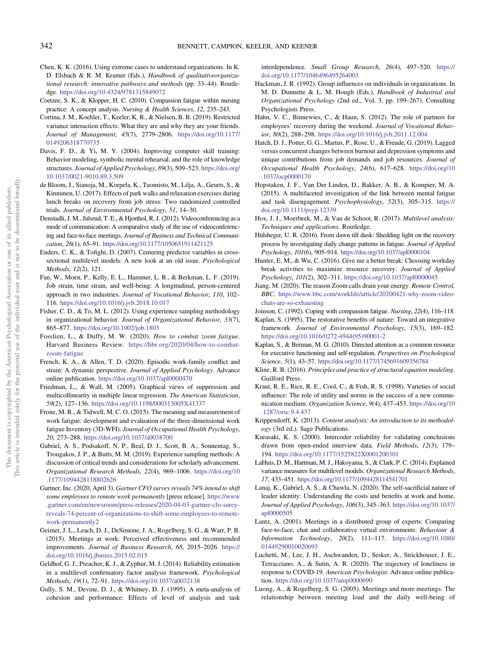- <span id="page-12-0"></span>Chen, K. K. (2016). Using extreme cases to understand organizations. In K. D. Elsbach & R. M. Kramer (Eds.), Handbook of qualitativeorganizational research: innovative pathways and methods (pp. 33–44). Routledge. <https://doi.org/10.4324/9781315849072>
- Coetzee, S. K., & Klopper, H. C. (2010). Compassion fatigue within nursing practice: A concept analysis. Nursing & Health Sciences, 12, 235-243.
- Cortina, J. M., Koehler, T., Keeler, K. R., & Nielsen, B. B. (2019). Restricted variance interaction effects: What they are and why they are your friends. Journal of Management, 45(7), 2779–2806. [https://doi.org/10.1177/](https://doi.org/10.1177/0149206318770735) [0149206318770735](https://doi.org/10.1177/0149206318770735)
- Davis, F. D., & Yi, M. Y. (2004). Improving computer skill training: Behavior modeling, symbolic mental rehearsal, and the role of knowledge structures. Journal of Applied Psychology, 89(3), 509–523. [https://doi.org/](https://doi.org/10.1037/0021-9010.89.3.509) [10.1037/0021-9010.89.3.509](https://doi.org/10.1037/0021-9010.89.3.509)
- de Bloom, J., Sianoja, M., Korpela, K., Tuomisto, M., Lilja, A., Geurts, S., & Kinnunen, U. (2017). Effects of park walks and relaxation exercises during lunch breaks on recovery from job stress: Two randomized controlled trials. Journal of Environmental Psychology, 51, 14–30.
- Denstadli, J. M., Julsrud, T. E., & Hjorthol, R. J. (2012). Videoconferencing as a mode of communication: A comparative study of the use of videoconferencing and face-to-face meetings. Journal of Business and Technical Communication, 26(1), 65–91. <https://doi.org/10.1177/1050651911421125>
- Enders, C. K., & Tofighi, D. (2007). Centering predictor variables in crosssectional multilevel models: A new look at an old issue. Psychological Methods, 12(2), 121.
- Fan, W., Moen, P., Kelly, E. L., Hammer, L. B., & Berkman, L. F. (2019). Job strain, time strain, and well-being: A longitudinal, person-centered approach in two industries. Journal of Vocational Behavior, 110, 102– 116. <https://doi.org/10.1016/j.jvb.2018.10.017>
- Fisher, C. D., & To, M. L. (2012). Using experience sampling methodology in organizational behavior. Journal of Organizational Behavior, 33(7), 865–877. <https://doi.org/10.1002/job.1803>
- Fosslien, L., & Duffy, M. W. (2020). How to combat zoom fatigue. Harvard Business Review. [https://hbr.org/2020/04/how-to-combat](https://hbr.org/2020/04/how-to-combat-zoom-fatigue)[zoom-fatigue](https://hbr.org/2020/04/how-to-combat-zoom-fatigue)
- French, K. A., & Allen, T. D. (2020). Episodic work-family conflict and strain: A dynamic perspective. Journal of Applied Psychology. Advance online publication. <https://doi.org/10.1037/apl0000470>
- Friedman, L., & Wall, M. (2005). Graphical views of suppression and multicollinearity in multiple linear regression. The American Statistician, 59(2), 127–136. <https://doi.org/10.1198/000313005X41337>
- Frone, M. R., & Tidwell, M. C. O. (2015). The meaning and measurement of work fatigue: development and evaluation of the three-dimensional work fatigue Inventory (3D-WFI). Journal of Occupational Health Psychology, 20, 273–288. <https://doi.org/10.1037/a0038700>
- Gabriel, A. S., Podsakoff, N. P., Beal, D. J., Scott, B. A., Sonnentag, S., Trougakos, J. P., & Butts, M. M. (2019). Experience sampling methods: A discussion of critical trends and considerations for scholarly advancement. Organizational Research Methods, 22(4), 969–1006. [https://doi.org/10](https://doi.org/10.1177/1094428118802626) [.1177/1094428118802626](https://doi.org/10.1177/1094428118802626)
- Gartner, Inc. (2020, April 3). Gartner CFO survey reveals 74% intend to shift some employees to remote work permanently [press release]. [https://www](https://www.gartner.com/en/newsroom/press-releases/2020-04-03-gartner-cfo-surey-reveals-74-percent-of-organizations-to-shift-some-employees-to-remote-work-permanently2) [.gartner.com/en/newsroom/press-releases/2020-04-03-gartner-cfo-surey](https://www.gartner.com/en/newsroom/press-releases/2020-04-03-gartner-cfo-surey-reveals-74-percent-of-organizations-to-shift-some-employees-to-remote-work-permanently2)[reveals-74-percent-of-organizations-to-shift-some-employees-to-remote](https://www.gartner.com/en/newsroom/press-releases/2020-04-03-gartner-cfo-surey-reveals-74-percent-of-organizations-to-shift-some-employees-to-remote-work-permanently2)[work-permanently2](https://www.gartner.com/en/newsroom/press-releases/2020-04-03-gartner-cfo-surey-reveals-74-percent-of-organizations-to-shift-some-employees-to-remote-work-permanently2)
- Geimer, J. L., Leach, D. J., DeSimone, J. A., Rogelberg, S. G., & Warr, P. B. (2015). Meetings at work: Perceived effectiveness and recommended improvements. Journal of Business Research, 68, 2015–2026. [https://](https://doi.org/10.1016/j.jbusres.2015.02.015) [doi.org/10.1016/j.jbusres.2015.02.015](https://doi.org/10.1016/j.jbusres.2015.02.015)
- Geldhof, G. J., Preacher, K. J., & Zyphur, M. J. (2014). Reliability estimation in a multilevel confirmatory factor analysis framework. Psychological Methods, 19(1), 72–91. <https://doi.org/10.1037/a0032138>
- Gully, S. M., Devine, D. J., & Whitney, D. J. (1995). A meta-analysis of cohesion and performance: Effects of level of analysis and task

interdependence. Small Group Research, 26(4), 497–520. [https://](https://doi.org/10.1177/1046496495264003) [doi.org/10.1177/1046496495264003](https://doi.org/10.1177/1046496495264003)

- Hackman, J. R. (1992). Group influences on individuals in organizations. In M. D. Dunnette & L. M. Hough (Eds.), Handbook of Industrial and Organizational Psychology (2nd ed., Vol. 3, pp. 199–267). Consulting Psychologists Press.
- Hahn, V. C., Binnewies, C., & Haun, S. (2012). The role of partners for employees' recovery during the weekend. Journal of Vocational Behavior, 80(2), 288–298. <https://doi.org/10.1016/j.jvb.2011.12.004>
- Hatch, D. J., Potter, G. G., Martus, P., Rose, U., & Freude, G. (2019). Lagged versus concurrent changes between burnout and depression symptoms and unique contributions from job demands and job resources. Journal of Occupational Health Psychology, 24(6), 617–628. [https://doi.org/10](https://doi.org/10.1037/ocp0000170) [.1037/ocp0000170](https://doi.org/10.1037/ocp0000170)
- Hopstaken, J. F., Van Der Linden, D., Bakker, A. B., & Kompier, M. A. (2015). A multifaceted investigation of the link between mental fatigue and task disengagement. Psychophysiology, 52(3), 305–315. [https://](https://doi.org/10.1111/psyp.12339) [doi.org/10.1111/psyp.12339](https://doi.org/10.1111/psyp.12339)
- Hox, J. J., Moerbeek, M., & Van de Schoot, R. (2017). Multilevel analysis: Techniques and applications. Routledge.
- Hülsheger, U. R. (2016). From dawn till dusk: Shedding light on the recovery process by investigating daily change patterns in fatigue. Journal of Applied Psychology, 101(6), 905–914. <https://doi.org/10.1037/apl0000104>
- Hunter, E. M., & Wu, C. (2016). Give me a better break: Choosing workday break activities to maximize resource recovery. Journal of Applied Psychology, 101(2), 302–311. <https://doi.org/10.1037/apl0000045>
- Jiang, M. (2020). The reason Zoom calls drain your energy. Remote Control, BBC. [https://www.bbc.com/worklife/article/20200421-why-zoom-video](https://www.bbc.com/worklife/article/20200421-why-zoom-video-chats-are-so-exhausting)[chats-are-so-exhausting](https://www.bbc.com/worklife/article/20200421-why-zoom-video-chats-are-so-exhausting)

Joinson, C. (1992). Coping with compassion fatigue. Nursing, 22(4), 116–118.

- Kaplan, S. (1995). The restorative benefits of nature: Toward an integrative framework. Journal of Environmental Psychology, 15(3), 169–182. [https://doi.org/10.1016/0272-4944\(95\)90001-2](https://doi.org/10.1016/0272-4944(95)90001-2)
- Kaplan, S., & Berman, M. G. (2010). Directed attention as a common resource for executive functioning and self-regulation. Perspectives on Psychological Science, 5(1), 43–57. <https://doi.org/10.1177/1745691609356784>
- Kline, R. B. (2016). Principles and practice of structural equation modeling. Guilford Press.
- Kraut, R. E., Rice, R. E., Cool, C., & Fish, R. S. (1998). Varieties of social influence: The role of utility and norms in the success of a new communication medium. Organization Science, 9(4), 437–453. [https://doi.org/10](https://doi.org/10.1287/orsc.9.4.437) [.1287/orsc.9.4.437](https://doi.org/10.1287/orsc.9.4.437)
- Krippendorff, K. (2013). Content analysis: An introduction to its methodology (3rd ed.). Sage Publications.
- Kurasaki, K. S. (2000). Intercoder reliability for validating conclusions drawn from open-ended interview data. Field Methods, 12(3), 179– 194. <https://doi.org/10.1177/1525822X0001200301>
- LaHuis, D. M., Hartman, M. J., Hakoyama, S., & Clark, P. C. (2014). Explained variance measures for multilevel models. Organizational Research Methods, 17, 433–451. <https://doi.org/10.1177/1094428114541701>
- Lanaj, K., Gabriel, A. S., & Chawla, N. (2020). The self-sacrificial nature of leader identity: Understanding the costs and benefits at work and home. Journal of Applied Psychology, 106(3), 345–363. [https://doi.org/10.1037/](https://doi.org/10.1037/apl0000505) [apl0000505](https://doi.org/10.1037/apl0000505)
- Lantz, A. (2001). Meetings in a distributed group of experts: Comparing face-to-face, chat and collaborative virtual environments. Behaviour & Information Technology, 20(2), 111–117. [https://doi.org/10.1080/](https://doi.org/10.1080/01449290010020693) [01449290010020693](https://doi.org/10.1080/01449290010020693)
- Luchetti, M., Lee, J. H., Aschwanden, D., Sesker, A., Strickhouser, J. E., Terracciano, A., & Sutin, A. R. (2020). The trajectory of loneliness in response to COVID-19. American Psychologist. Advance online publication. <https://doi.org/10.1037/amp0000690>
- Luong, A., & Rogelberg, S. G. (2005). Meetings and more meetings: The relationship between meeting load and the daily well-being of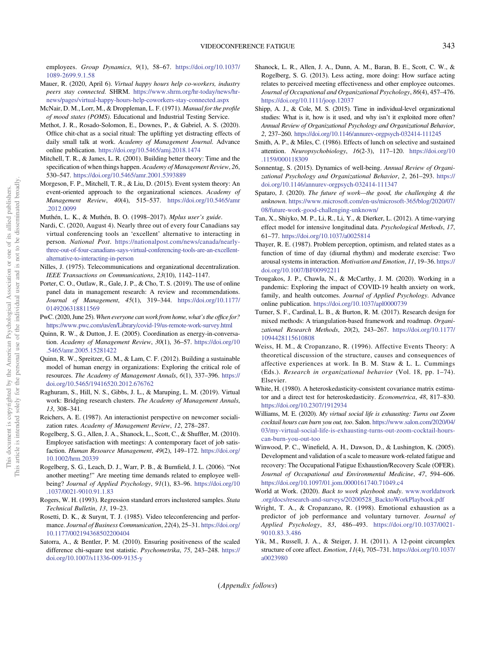<span id="page-13-0"></span>employees. Group Dynamics, 9(1), 58–67. [https://doi.org/10.1037/](https://doi.org/10.1037/1089-2699.9.1.58) [1089-2699.9.1.58](https://doi.org/10.1037/1089-2699.9.1.58)

- Mauer, R. (2020, April 6). Virtual happy hours help co-workers, industry peers stay connected. SHRM. [https://www.shrm.org/hr-today/news/hr](https://www.shrm.org/hr-today/news/hr-news/pages/virtual-happy-hours-help-coworkers-stay-connected.aspx)[news/pages/virtual-happy-hours-help-coworkers-stay-connected.aspx](https://www.shrm.org/hr-today/news/hr-news/pages/virtual-happy-hours-help-coworkers-stay-connected.aspx)
- McNair, D. M., Lorr, M., & Droppleman, L. F. (1971). Manual for the profile of mood states (POMS). Educational and Industrial Testing Service.
- Methot, J. R., Rosado-Solomon, E., Downes, P., & Gabriel, A. S. (2020). Office chit-chat as a social ritual: The uplifting yet distracting effects of daily small talk at work. Academy of Management Journal. Advance online publication. <https://doi.org/10.5465/amj.2018.1474>
- Mitchell, T. R., & James, L. R. (2001). Building better theory: Time and the specification of when things happen. Academy of Management Review, 26, 530–547. <https://doi.org/10.5465/amr.2001.5393889>
- Morgeson, F. P., Mitchell, T. R., & Liu, D. (2015). Event system theory: An event-oriented approach to the organizational sciences. Academy of Management Review, 40(4), 515–537. [https://doi.org/10.5465/amr](https://doi.org/10.5465/amr.2012.0099) [.2012.0099](https://doi.org/10.5465/amr.2012.0099)
- Muthén, L. K., & Muthén, B. O. (1998–2017). Mplus user's guide.
- Nardi, C. (2020, August 4). Nearly three out of every four Canadians say virtual conferencing tools an 'excellent' alternative to interacting in person. National Post. [https://nationalpost.com/news/canada/nearly](https://nationalpost.com/news/canada/nearly-three-out-of-four-canadians-says-virtual-conferencing-tools-are-an-excellent-alternative-to-interacting-in-person)[three-out-of-four-canadians-says-virtual-conferencing-tools-are-an-excellent](https://nationalpost.com/news/canada/nearly-three-out-of-four-canadians-says-virtual-conferencing-tools-are-an-excellent-alternative-to-interacting-in-person)[alternative-to-interacting-in-person](https://nationalpost.com/news/canada/nearly-three-out-of-four-canadians-says-virtual-conferencing-tools-are-an-excellent-alternative-to-interacting-in-person)
- Nilles, J. (1975). Telecommunications and organizational decentralization. IEEE Transactions on Communications, 23(10), 1142–1147.
- Porter, C. O., Outlaw, R., Gale, J. P., & Cho, T. S. (2019). The use of online panel data in management research: A review and recommendations. Journal of Management, 45(1), 319–344. [https://doi.org/10.1177/](https://doi.org/10.1177/0149206318811569) [0149206318811569](https://doi.org/10.1177/0149206318811569)
- PwC. (2020, June 25). When everyone can work from home, what's the office for? <https://www.pwc.com/us/en/Library/covid-19/us-remote-work-survey.html>
- Quinn, R. W., & Dutton, J. E. (2005). Coordination as energy-in-conversation. Academy of Management Review, 30(1), 36–57. [https://doi.org/10](https://doi.org/10.5465/amr.2005.15281422) [.5465/amr.2005.15281422](https://doi.org/10.5465/amr.2005.15281422)
- Quinn, R. W., Spreitzer, G. M., & Lam, C. F. (2012). Building a sustainable model of human energy in organizations: Exploring the critical role of resources. The Academy of Management Annals, 6(1), 337–396. [https://](https://doi.org/10.5465/19416520.2012.676762) [doi.org/10.5465/19416520.2012.676762](https://doi.org/10.5465/19416520.2012.676762)
- Raghuram, S., Hill, N. S., Gibbs, J. L., & Maruping, L. M. (2019). Virtual work: Bridging research clusters. The Academy of Management Annals, 13, 308–341.
- Reichers, A. E. (1987). An interactionist perspective on newcomer socialization rates. Academy of Management Review, 12, 278–287.
- Rogelberg, S. G., Allen, J. A., Shanock, L., Scott, C., & Shuffler, M. (2010). Employee satisfaction with meetings: A contemporary facet of job satisfaction. Human Resource Management, 49(2), 149-172. [https://doi.org/](https://doi.org/10.1002/hrm.20339) [10.1002/hrm.20339](https://doi.org/10.1002/hrm.20339)
- Rogelberg, S. G., Leach, D. J., Warr, P. B., & Burnfield, J. L. (2006). "Not another meeting!" Are meeting time demands related to employee wellbeing? Journal of Applied Psychology, 91(1), 83-96. [https://doi.org/10](https://doi.org/10.1037/0021-9010.91.1.83) [.1037/0021-9010.91.1.83](https://doi.org/10.1037/0021-9010.91.1.83)
- Rogers, W. H. (1993). Regression standard errors inclustered samples. Stata Technical Bulletin, 13, 19–23.
- Rosetti, D. K., & Surynt, T. J. (1985). Video teleconferencing and performance. Journal of Business Communication, 22(4), 25–31. [https://doi.org/](https://doi.org/10.1177/002194368502200404) [10.1177/002194368502200404](https://doi.org/10.1177/002194368502200404)
- Satorra, A., & Bentler, P. M. (2010). Ensuring positiveness of the scaled difference chi-square test statistic. Psychometrika, 75, 243–248. [https://](https://doi.org/10.1007/s11336-009-9135-y) [doi.org/10.1007/s11336-009-9135-y](https://doi.org/10.1007/s11336-009-9135-y)
- Shanock, L. R., Allen, J. A., Dunn, A. M., Baran, B. E., Scott, C. W., & Rogelberg, S. G. (2013). Less acting, more doing: How surface acting relates to perceived meeting effectiveness and other employee outcomes. Journal of Occupational and Organizational Psychology, 86(4), 457–476. <https://doi.org/10.1111/joop.12037>
- Shipp, A. J., & Cole, M. S. (2015). Time in individual-level organizational studies: What is it, how is it used, and why isn't it exploited more often? Annual Review of Organizational Psychology and Organizational Behavior, 2, 237–260. <https://doi.org/10.1146/annurev-orgpsych-032414-111245>
- Smith, A. P., & Miles, C. (1986). Effects of lunch on selective and sustained attention. Neuropsychobiology, 16(2-3), 117–120. [https://doi.org/10](https://doi.org/10.1159/000118309) [.1159/000118309](https://doi.org/10.1159/000118309)
- Sonnentag, S. (2015). Dynamics of well-being. Annual Review of Organizational Psychology and Organizational Behavior, 2, 261–293. [https://](https://doi.org/10.1146/annurev-orgpsych-032414-111347) [doi.org/10.1146/annurev-orgpsych-032414-111347](https://doi.org/10.1146/annurev-orgpsych-032414-111347)
- Spataro, J. (2020). The future of work—the good, the challenging & the unknown. [https://www.microsoft.com/en-us/microsoft-365/blog/2020/07/](https://www.microsoft.com/en-us/microsoft-365/blog/2020/07/08/future-work-good-challenging-unknown/) [08/future-work-good-challenging-unknown/](https://www.microsoft.com/en-us/microsoft-365/blog/2020/07/08/future-work-good-challenging-unknown/)
- Tan, X., Shiyko, M. P., Li, R., Li, Y., & Dierker, L. (2012). A time-varying effect model for intensive longitudinal data. Psychological Methods, 17, 61–77. <https://doi.org/10.1037/a0025814>
- Thayer, R. E. (1987). Problem perception, optimism, and related states as a function of time of day (diurnal rhythm) and moderate exercise: Two arousal systems in interaction. Motivation and Emotion, 11, 19–36. [https://](https://doi.org/10.1007/BF00992211) [doi.org/10.1007/BF00992211](https://doi.org/10.1007/BF00992211)
- Trougakos, J. P., Chawla, N., & McCarthy, J. M. (2020). Working in a pandemic: Exploring the impact of COVID-19 health anxiety on work, family, and health outcomes. Journal of Applied Psychology. Advance online publication. <https://doi.org/10.1037/apl0000739>
- Turner, S. F., Cardinal, L. B., & Burton, R. M. (2017). Research design for mixed methods: A triangulation-based framework and roadmap. Organizational Research Methods, 20(2), 243–267. [https://doi.org/10.1177/](https://doi.org/10.1177/1094428115610808) [1094428115610808](https://doi.org/10.1177/1094428115610808)
- Weiss, H. M., & Cropanzano, R. (1996). Affective Events Theory: A theoretical discussion of the structure, causes and consequences of affective experiences at work. In B. M. Staw & L. L. Cummings (Eds.). Research in organizational behavior (Vol. 18, pp. 1–74). Elsevier.
- White, H. (1980). A heteroskedasticity-consistent covariance matrix estimator and a direct test for heteroskedasticity. Econometrica, 48, 817–830. <https://doi.org/10.2307/1912934>
- Williams, M. E. (2020). My virtual social life is exhausting: Turns out Zoom cocktail hours can burn you out, too. Salon. [https://www.salon.com/2020/04/](https://www.salon.com/2020/04/03/my-virtual-social-life-is-exhausting-turns-out-zoom-cocktail-hours-can-burn-you-out-too) [03/my-virtual-social-life-is-exhausting-turns-out-zoom-cocktail-hours](https://www.salon.com/2020/04/03/my-virtual-social-life-is-exhausting-turns-out-zoom-cocktail-hours-can-burn-you-out-too)[can-burn-you-out-too](https://www.salon.com/2020/04/03/my-virtual-social-life-is-exhausting-turns-out-zoom-cocktail-hours-can-burn-you-out-too)
- Winwood, P. C., Winefield, A. H., Dawson, D., & Lushington, K. (2005). Development and validation of a scale to measure work-related fatigue and recovery: The Occupational Fatigue Exhaustion/Recovery Scale (OFER). Journal of Occupational and Environmental Medicine, 47, 594–606. <https://doi.org/10.1097/01.jom.0000161740.71049.c4>
- World at Work. (2020). Back to work playbook study. [www.worldatwork](https://www.worldatwork.org/docs/research-and-surveys/20200528_BacktoWorkPlaybook.pdf) [.org/docs/research-and-surveys/20200528\\_BacktoWorkPlaybook.pdf](https://www.worldatwork.org/docs/research-and-surveys/20200528_BacktoWorkPlaybook.pdf)
- Wright, T. A., & Cropanzano, R. (1998). Emotional exhaustion as a predictor of job performance and voluntary turnover. Journal of Applied Psychology, 83, 486–493. [https://doi.org/10.1037/0021-](https://doi.org/10.1037/0021-9010.83.3.486) [9010.83.3.486](https://doi.org/10.1037/0021-9010.83.3.486)
- Yik, M., Russell, J. A., & Steiger, J. H. (2011). A 12-point circumplex structure of core affect. Emotion, 11(4), 705–731. [https://doi.org/10.1037/](https://doi.org/10.1037/a0023980) [a0023980](https://doi.org/10.1037/a0023980)

(Appendix follows)